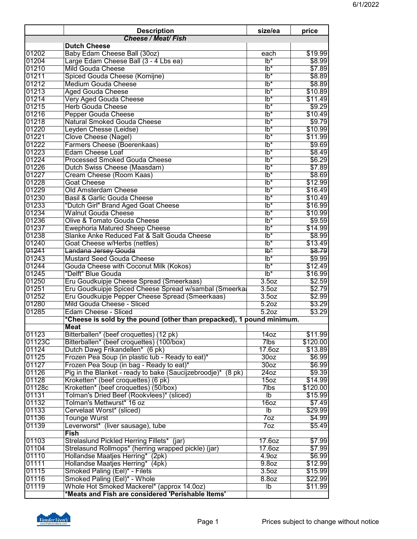|        | <b>Description</b>                                                    | size/ea                    | price    |
|--------|-----------------------------------------------------------------------|----------------------------|----------|
|        | <b>Cheese / Meat/ Fish</b>                                            |                            |          |
|        | <b>Dutch Cheese</b>                                                   |                            |          |
| 01202  | Baby Edam Cheese Ball (30oz)                                          | each                       | \$19.99  |
| 01204  | Large Edam Cheese Ball (3 - 4 Lbs ea)                                 | $\overline{1}b^*$          | \$8.99   |
| 01210  | <b>Mild Gouda Cheese</b>                                              | $lb*$                      | \$7.89   |
| 01211  | Spiced Gouda Cheese (Komijne)                                         | $lb*$                      | \$8.89   |
| 01212  | <b>Medium Gouda Cheese</b>                                            | $lb*$                      | \$8.89   |
| 01213  | <b>Aged Gouda Cheese</b>                                              | $lb*$                      | \$10.89  |
| 01214  | <b>Very Aged Gouda Cheese</b>                                         | $lb*$                      | \$11.49  |
| 01215  | <b>Herb Gouda Cheese</b>                                              | $lb*$                      | \$9.29   |
| 01216  | <b>Pepper Gouda Cheese</b>                                            | $lb^*$                     | \$10.49  |
| 01218  | Natural Smoked Gouda Cheese                                           | $lb*$                      | \$9.79   |
| 01220  | Leyden Chesse (Leidse)                                                | $\overline{\mathsf{lb}^*}$ | \$10.99  |
| 01221  | Clove Cheese (Nagel)                                                  | $lb*$                      | \$11.99  |
| 01222  | Farmers Cheese (Boerenkaas)                                           | $lb*$                      | \$9.69   |
| 01223  | <b>Edam Cheese Loaf</b>                                               | $lb*$                      | \$8.49   |
| 01224  | <b>Processed Smoked Gouda Cheese</b>                                  | $lb*$                      | \$6.29   |
| 01226  | Dutch Swiss Cheese (Maasdam)                                          | $Ib^*$                     | \$7.89   |
| 01227  | Cream Cheese (Room Kaas)                                              | $lb*$                      | \$8.69   |
| 01228  | <b>Goat Cheese</b>                                                    | $lb^*$                     | \$12.99  |
| 01229  | Old Amsterdam Cheese                                                  | $lb*$                      | \$16.49  |
| 01230  | Basil & Garlic Gouda Cheese                                           | $lb*$                      | \$10.49  |
| 01233  | "Dutch Girl" Brand Aged Goat Cheese                                   | $lb*$                      | \$16.99  |
| 01234  | <b>Walnut Gouda Cheese</b>                                            | $lb*$                      | \$10.99  |
| 01236  | Olive & Tomato Gouda Cheese                                           |                            |          |
|        |                                                                       | $lb*$                      | \$9.59   |
| 01237  | <b>Ewephoria Matured Sheep Cheese</b>                                 | lb*                        | \$14.99  |
| 01238  | Slanke Anke Reduced Fat & Salt Gouda Cheese                           | $lb^*$                     | \$8.99   |
| 01240  | Goat Cheese w/Herbs (nettles)                                         | $lb*$                      | \$13.49  |
| 01241  | Landana Jersey Gouda                                                  | ₹                          | \$8.79   |
| 01243  | <b>Mustard Seed Gouda Cheese</b>                                      | $\overline{lb^*}$          | \$9.99   |
| 01244  | Gouda Cheese with Coconut Milk (Kokos)                                | $lb*$                      | \$12.49  |
| 01245  | "Delft" Blue Gouda                                                    | $lb*$                      | \$16.99  |
| 01250  | Eru Goudkuipje Cheese Spread (Smeerkaas)                              | 3.5 <sub>oz</sub>          | \$2.59   |
| 01251  | Eru Goudkuipje Spiced Cheese Spread w/sambal (Smeerka                 | 3.5 <sub>oz</sub>          | \$2.79   |
| 01252  | Eru Goudkuipje Pepper Cheese Spread (Smeerkaas)                       | 3.5 <sub>oz</sub>          | \$2.99   |
| 01280  | Mild Gouda Cheese - Sliced                                            | 5.2oz                      | \$3.29   |
| 01285  | Edam Cheese - Sliced                                                  | 5.2 <sub>oz</sub>          | \$3.29   |
|        | *Cheese is sold by the pound (other than prepacked), 1 pound minimum. |                            |          |
|        | <b>Meat</b>                                                           |                            |          |
| 01123  | Bitterballen* (beef croquettes) (12 pk)                               | 14 <sub>oz</sub>           | \$11.99  |
| 01123C | Bitterballen* (beef croquettes) (100/box)                             | 7lbs                       | \$120.00 |
| 01124  | Dutch Dawg Frikandellen* (6 pk)                                       | 17.60Z                     | \$13.89  |
| 01125  | Frozen Pea Soup (in plastic tub - Ready to eat)*                      | 30 <sub>oz</sub>           | \$6.99   |
| 01127  | Frozen Pea Soup (in bag - Ready to eat)*                              | 30 <sub>oz</sub>           | \$6.99   |
| 01126  | Pig in the Blanket - ready to bake (Saucijzebroodje)* (8 pk)          | 240z                       | \$9.39   |
| 01128  | Kroketten* (beef croquettes) (6 pk)                                   | 15oz                       | \$14.99  |
| 01128c | Kroketten* (beef croquettes) (50/box)                                 | 7lbs                       | \$120.00 |
| 01131  | Tolman's Dried Beef (Rookvlees)* (sliced)                             | $\overline{1}$             | \$15.99  |
| 01132  | Tolman's Mettwurst* 16 oz                                             | 160z                       | \$7.49   |
| 01133  | Cervelaat Worst* (sliced)                                             | $\overline{1}$             | \$29.99  |
| 01136  | Tounge Wurst                                                          | 7 <sub>oz</sub>            | \$4.99   |
| 01139  | Leverworst* (liver sausage), tube                                     | 7oz                        | \$5.49   |
|        | <b>Fish</b>                                                           |                            |          |
| 01103  | Strelaslund Pickled Herring Fillets* (jar)                            | 17.6oz                     | \$7.99   |
| 01104  | Strelasund Rollmops* (herring wrapped pickle) (jar)                   | 17.60z                     | \$7.99   |
| 01110  | Hollandse Maatjes Herring* (2pk)                                      | 4.9 <sub>oz</sub>          | \$6.99   |
| 01111  | Hollandse Maatjes Herring* (4pk)                                      | 9.8oz                      | \$12.99  |
| 01115  | Smoked Paling (Eel)* - Filets                                         | 3.5 <sub>oz</sub>          | \$15.99  |
| 01116  | Smoked Paling (Eel)* - Whole                                          | 8.80Z                      | \$22.99  |
| 01119  | Whole Hot Smoked Mackerel* (approx 14.0oz)                            | $\overline{1}$             | \$11.99  |
|        |                                                                       |                            |          |
|        | *Meats and Fish are considered 'Perishable Items'                     |                            |          |

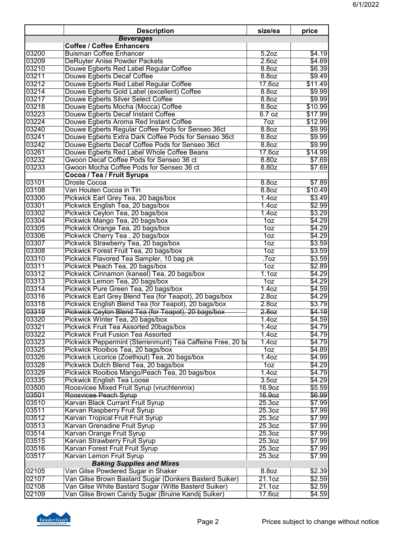|       | <b>Description</b>                                         | size/ea            | price   |
|-------|------------------------------------------------------------|--------------------|---------|
|       | <b>Beverages</b>                                           |                    |         |
|       | <b>Coffee / Coffee Enhancers</b>                           |                    |         |
| 03200 | <b>Buisman Coffee Enhancer</b>                             | 5.2oz              | \$4.19  |
| 03209 | DeRuyter Anise Powder Packets                              | 2.60z              | \$4.69  |
| 03210 | Douwe Egberts Red Label Regular Coffee                     | 8.8 <sub>oz</sub>  | \$6.39  |
| 03211 | Douwe Egberts Decaf Coffee                                 | 8.8 <sub>oz</sub>  | \$9.49  |
| 03212 | Douwe Egberts Red Label Regular Coffee                     | 17.6oz             | \$11.49 |
| 03214 | Douwe Egberts Gold Label (excellent) Coffee                | 8.8 <sub>oz</sub>  | \$9.99  |
| 03217 | Douwe Egberts Silver Select Coffee                         | 8.8 <sub>oz</sub>  | \$9.99  |
| 03218 | Douwe Egberts Mocha (Mocca) Coffee                         | 8.8oz              | \$10.99 |
| 03223 | Douew Egberts Decaf Instant Coffee                         | 6.7 oz             | \$17.99 |
| 03224 | Douwe Egberts Aroma Red Instant Coffee                     | 7 <sub>oz</sub>    | \$12.99 |
| 03240 | Douwe Egberts Regular Coffee Pods for Senseo 36ct          | 8.8 <sub>oz</sub>  | \$9.99  |
| 03241 | Douwe Egberts Extra Dark Coffee Pods for Senseo 36ct       | 8.8oz              | \$9.99  |
| 03242 | Douwe Egberts Decaf Coffee Pods for Senseo 36ct            | 8.8 <sub>oz</sub>  | \$9.99  |
| 03261 | Douwe Egberts Red Label Whole Coffee Beans                 | 17.6oz             | \$14.99 |
| 03232 | Gwoon Decaf Coffee Pods for Senseo 36 ct                   | 8.80z              | \$7.69  |
| 03233 | Gwoon Mocha Coffee Pods for Senseo 36 ct                   | 8.80z              | \$7.69  |
|       | Cocoa / Tea / Fruit Syrups                                 |                    |         |
| 03101 | Droste Cocoa                                               | 8.8oz              | \$7.89  |
| 03108 | Van Houten Cocoa in Tin                                    | 8.8 <sub>oz</sub>  | \$10.49 |
| 03300 | Pickwick Earl Grey Tea, 20 bags/box                        | 1.40z              | \$3.49  |
| 03301 | Pickwick English Tea, 20 bags/box                          | 1.40z              | \$2.99  |
| 03302 | Pickwick Ceylon Tea, 20 bags/box                           | 1.40z              | \$3.29  |
| 03304 | Pickwick Mango Tea, 20 bags/box                            | 1oz                | \$4.29  |
| 03305 | Pickwick Orange Tea, 20 bags/box                           | 10z                | \$4.29  |
| 03306 | Pickwick Cherry Tea, 20 bags/box                           | 10z                | \$4.29  |
| 03307 | Pickwick Strawberry Tea, 20 bags/box                       | 10z                | \$3.59  |
| 03308 | Pickwick Forest Fruit Tea, 20 bags/box                     | 10z                | \$3.59  |
| 03310 | Pickwick Flavored Tea Sampler, 10 bag pk                   | .70Z               | \$3.59  |
| 03311 | Pickwick Peach Tea, 20 bags/box                            | 10z                | \$2.89  |
| 03312 | Pickwick Cinnamon (kaneel) Tea, 20 bags/box                | 1.1 <sub>oz</sub>  | \$4.29  |
| 03313 | Pickwick Lemon Tea, 20 bags/box                            | 1oz                | \$4.29  |
| 03314 | Pickwick Pure Green Tea, 20 bags/box                       | 1.40z              | \$4.59  |
| 03316 | Pickwick Earl Grey Blend Tea (for Teapot), 20 bags/box     | 2.8 <sub>oz</sub>  | \$4.29  |
| 03318 | Pickwick English Blend Tea (for Teapot), 20 bags/box       | 2.8 <sub>oz</sub>  | \$3.79  |
| 03319 | Pickwick Ceylon Blend Tea (for Teapot), 20 bags/box        | 2.80z              | \$4.19  |
| 03320 | Pickwick Winter Tea, 20 bags/box                           | 1.40z              | \$4.59  |
| 03321 | Pickwick Fruit Tea Assorted 20bags/box                     | 1.40z              | \$4.79  |
| 03322 | <b>Pickwick Fruit Fusion Tea Assorted</b>                  | 1.40z              | \$4.79  |
| 03323 | Pickwick Peppermint (Sterrenmunt) Tea Caffeine Free, 20 ba | 1.40z              | \$4.79  |
| 03325 | Pickwick Rooibos Tea, 20 bags/box                          | 10z                | \$4.89  |
| 03326 | Pickwick Licorice (Zoethout) Tea, 20 bags/box              | 1.40z              | \$4.99  |
| 03328 | Pickwick Dutch Blend Tea, 20 bags/box                      | 10z                | \$4.29  |
| 03329 | Pickwick Rooibos Mango/Peach Tea, 20 bags/box              | 1.40Z              | \$4.79  |
| 03335 | <b>Pickwick English Tea Loose</b>                          | 3.5 <sub>oz</sub>  | \$4.29  |
| 03500 | Roosvicee Mixed Fruit Syrup (vruchtenmix)                  | 16.9oz             | \$5.59  |
| 03501 | Roosvicee Peach Syrup                                      | 16.9oz             | \$6.99  |
| 03510 | Karvan Black Currant Fruit Syrup                           | 25.3oz             | \$7.99  |
| 03511 | Karvan Raspberry Fruit Syrup                               | 25.3oz             | \$7.99  |
| 03512 | Karvan Tropical Fruit Fruit Syrup                          | 25.3 <sub>oz</sub> | \$7.99  |
| 03513 | Karvan Grenadine Fruit Syrup                               | 25.3 <sub>oz</sub> | \$7.99  |
| 03514 | Karvan Orange Fruit Syrup                                  | 25.3oz             | \$7.99  |
| 03515 | Karvan Strawberry Fruit Syrup                              | 25.3oz             | \$7.99  |
| 03516 | Karvan Forest Fruit Fruit Syrup                            | 25.3 <sub>oz</sub> | \$7.99  |
| 03517 | Karvan Lemon Fruit Syrup                                   | 25.3 <sub>oz</sub> | \$7.99  |
|       | <b>Baking Supplies and Mixes</b>                           |                    |         |
| 02105 | Van Gilse Powdered Sugar in Shaker                         | 8.8oz              | \$2.39  |
| 02107 | Van Gilse Brown Bastard Sugar (Donkers Basterd Suiker)     | 21.1oz             | \$2.59  |
| 02108 | Van Gilse White Bastard Sugar (Witte Basterd Suiker)       | 21.10z             | \$2.59  |
| 02109 | Van Gilse Brown Candy Sugar (Bruine Kandij Suiker)         | 17.6oz             | \$4.59  |
|       |                                                            |                    |         |

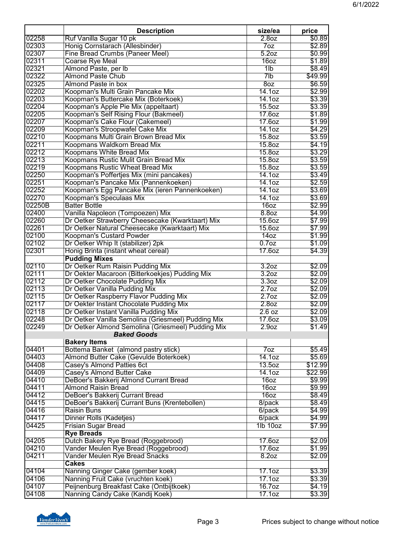|                | <b>Description</b>                                                        | size/ea            | price            |
|----------------|---------------------------------------------------------------------------|--------------------|------------------|
| 02258          | Ruf Vanilla Sugar 10 pk                                                   | 2.8 <sub>oz</sub>  | \$0.89           |
| 02303          | Honig Cornstarach (Allesbinder)                                           | 70z                | \$2.89           |
| 02307          | Fine Bread Crumbs (Paneer Meel)                                           | 5.2 <sub>oz</sub>  | \$0.99           |
| 02311          | <b>Coarse Rye Meal</b>                                                    | 16 <sub>oz</sub>   | \$1.89           |
| 02321          | Almond Paste, per Ib                                                      | 11b                | \$8.49           |
| 02322          | <b>Almond Paste Chub</b>                                                  | 7lb                | \$49.99          |
| 02325          | <b>Almond Paste in box</b>                                                | 8oz                | \$6.59           |
| 02202<br>02203 | Koopman's Multi Grain Pancake Mix<br>Koopman's Buttercake Mix (Boterkoek) | 14.10z<br>14.1oz   | \$2.99<br>\$3.39 |
| 02204          | Koopman's Apple Pie Mix (appeltaart)                                      | 15.5 <sub>oz</sub> | \$3.39           |
| 02205          | Koopman's Self Rising Flour (Bakmeel)                                     | 17.6oz             | \$1.89           |
| 02207          | Koopman's Cake Flour (Cakemeel)                                           | 17.60z             | \$1.99           |
| 02209          | Koopman's Stroopwafel Cake Mix                                            | 14.10z             | \$4.29           |
| 02210          | Koopmans Multi Grain Brown Bread Mix                                      | 15.8oz             | \$3.59           |
| 02211          | Koopmans Waldkorn Bread Mix                                               | 15.8oz             | \$4.19           |
| 02212          | Koopmans White Bread Mix                                                  | 15.8oz             | \$3.29           |
| 02213          | Koopmans Rustic Mulit Grain Bread Mix                                     | 15.8oz             | \$3.59           |
| 02219          | Koopmans Rustic Wheat Bread Mix                                           | 15.8oz             | \$3.59           |
| 02250          | Koopman's Poffertjes Mix (mini pancakes)                                  | 14.1 <sub>oz</sub> | \$3.49           |
| 02251          | Koopman's Pancake Mix (Pannenkoeken)                                      | 14.10z             | \$2.59           |
| 02252          | Koopman's Egg Pancake Mix (ieren Pannenkoeken)                            | 14.1oz             | \$3.69           |
| 02270          | Koopman's Speculaas Mix                                                   | 14.10z             | \$3.69           |
| 02250B         | <b>Batter Bottle</b>                                                      | 16oz               | \$2.99           |
| 02400          | Vanilla Napoleon (Tompoezen) Mix                                          | 8.8oz              | \$4.99           |
| 02260          | Dr Oetker Strawberry Cheesecake (Kwarktaart) Mix                          | 15.6oz             | \$7.99           |
| 02261          | Dr Oetker Natural Cheesecake (Kwarktaart) Mix                             | 15.6oz             | \$7.99           |
| 02100          | <b>Koopman's Custard Powder</b>                                           | 14 <sub>oz</sub>   | \$1.99           |
| 02102          | Dr Oetker Whip It (stabilizer) 2pk                                        | 0.7 <sub>oz</sub>  | \$1.09           |
| 02301          | Honig Brinta (instant wheat cereal)                                       | 17.60z             | \$4.39           |
|                | <b>Pudding Mixes</b>                                                      |                    |                  |
| 02110          | Dr Oetker Rum Raisin Pudding Mix                                          | 3.2 <sub>oz</sub>  | \$2.09           |
| 02111          | Dr Oekter Macaroon (Bitterkoekjes) Pudding Mix                            | 3.2 <sub>oz</sub>  | \$2.09           |
| 02112          | Dr Oetker Chocolate Pudding Mix                                           | 3.3 <sub>oz</sub>  | \$2.09           |
| 02113          | Dr Oetker Vanilla Pudding Mix                                             | 2.7 <sub>oz</sub>  | \$2.09           |
| 02115          | Dr Oetker Raspberry Flavor Pudding Mix                                    | 2.7 <sub>oz</sub>  | \$2.09           |
| 02117          | Dr Oekter Instant Chocolate Pudding Mix                                   | 2.8 <sub>oz</sub>  | \$2.09           |
| 02118          | Dr Oetker Instant Vanilla Pudding Mix                                     | 2.6 oz             | \$2.09           |
| 02248          | Dr Oetker Vanilla Semolina (Griesmeel) Pudding Mix                        | 17.6oz             | \$3.09           |
| 02249          | Dr Oetker Almond Semolina (Griesmeel) Pudding Mix                         | 2.9 <sub>oz</sub>  | \$1.49           |
|                | <b>Baked Goods</b>                                                        |                    |                  |
|                | <b>Bakery Items</b>                                                       |                    |                  |
| 04401          | Bottema Banket (almond pastry stick)                                      | 7oz                | \$5.49           |
| 04403          | Almond Butter Cake (Gevulde Boterkoek)                                    | 14.1oz             | \$5.69           |
| 04408          | Casey's Almond Patties 6ct                                                | 13.5oz             | \$12.99          |
| 04409          | Casey's Almond Butter Cake                                                | 14.1 <sub>oz</sub> | \$22.99          |
| 04410          | DeBoer's Bakkerij Almond Currant Bread                                    | 16oz               | \$9.99           |
| 04411          | <b>Almond Raisin Bread</b>                                                | 16oz               | \$9.99           |
| 04412          | DeBoer's Bakkerij Currant Bread                                           | 16oz               | \$8.49           |
| 04415          | DeBoer's Bakkerij Currant Buns (Krentebollen)                             | 8/pack             | \$8.49           |
| 04416          | <b>Raisin Buns</b>                                                        | 6/pack             | \$4.99           |
| 04417          | Dinner Rolls (Kadetjes)                                                   | 6/pack             | \$4.99           |
| 04425          | <b>Frisian Sugar Bread</b>                                                | 1lb 10oz           | \$7.99           |
|                | <b>Rye Breads</b>                                                         |                    |                  |
| 04205          | Dutch Bakery Rye Bread (Roggebrood)                                       | 17.6oz             | \$2.09           |
| 04210          | Vander Meulen Rye Bread (Roggebrood)                                      | 17.60z             | \$1.99           |
| 04211          | Vander Meulen Rye Bread Snacks                                            | 8.2oz              | \$2.09           |
|                | <b>Cakes</b>                                                              |                    |                  |
| 04104<br>04106 | Nanning Ginger Cake (gember koek)<br>Nanning Fruit Cake (vruchten koek)   | 17.10z<br>17.10z   | \$3.39<br>\$3.39 |
| 04107          |                                                                           | 16.7oz             | \$4.19           |
|                | Peijnenburg Breakfast Cake (Ontbijtkoek)                                  |                    |                  |
| 04108          | Nanning Candy Cake (Kandij Koek)                                          | 17.1oz             | \$3.39           |

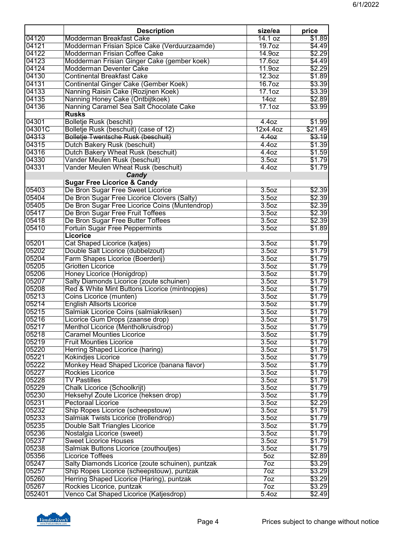| 04120<br>Modderman Breakfast Cake<br>14.1 oz<br>04121<br>Modderman Frisian Spice Cake (Verduurzaamde)<br>19.7 <sub>oz</sub><br>04122<br>Modderman Frisian Coffee Cake<br>14.9oz<br>04123<br>Modderman Frisian Ginger Cake (gember koek)<br>17.60z | \$1.89<br>\$4.49<br>\$2.29<br>\$4.49<br>\$2.29 |
|---------------------------------------------------------------------------------------------------------------------------------------------------------------------------------------------------------------------------------------------------|------------------------------------------------|
|                                                                                                                                                                                                                                                   |                                                |
|                                                                                                                                                                                                                                                   |                                                |
|                                                                                                                                                                                                                                                   |                                                |
|                                                                                                                                                                                                                                                   |                                                |
| 04124<br>Modderman Deventer Cake<br>11.9oz                                                                                                                                                                                                        |                                                |
| 04130<br>12.3oz<br><b>Continental Breakfast Cake</b>                                                                                                                                                                                              | \$1.89                                         |
| 04131<br>Continental Ginger Cake (Gember Koek)<br>16.7oz                                                                                                                                                                                          | \$3.39                                         |
| 04133<br>17.1oz<br>Nanning Raisin Cake (Rozijnen Koek)                                                                                                                                                                                            | \$3.39                                         |
| 04135<br>Nanning Honey Cake (Ontbijtkoek)<br>140z                                                                                                                                                                                                 | \$2.89                                         |
| 04136<br>Nanning Caramel Sea Salt Chocolate Cake<br>17.1oz                                                                                                                                                                                        | \$3.99                                         |
| <b>Rusks</b>                                                                                                                                                                                                                                      |                                                |
| 04301<br><b>Bolletje Rusk (beschit)</b><br>4.4 <sub>oz</sub>                                                                                                                                                                                      | \$1.99                                         |
| Bolletje Rusk (beschuit) (case of 12)<br>04301C<br>12x4.4oz                                                                                                                                                                                       | \$21.49                                        |
| 04313<br>Bolletje Twentsche Rusk (beschuit)<br>4.4 <sub>oz</sub>                                                                                                                                                                                  | \$3.19                                         |
| 04315<br>Dutch Bakery Rusk (beschuit)<br>4.40z                                                                                                                                                                                                    | \$1.39                                         |
| 04316<br>Dutch Bakery Wheat Rusk (beschuit)<br>4.40Z                                                                                                                                                                                              | \$1.59                                         |
| 04330<br>Vander Meulen Rusk (beschuit)<br>3.50Z                                                                                                                                                                                                   | \$1.79                                         |
| 04331<br>Vander Meulen Wheat Rusk (beschuit)<br>4.4oz                                                                                                                                                                                             | \$1.79                                         |
| Candy                                                                                                                                                                                                                                             |                                                |
| <b>Sugar Free Licorice &amp; Candy</b>                                                                                                                                                                                                            |                                                |
| De Bron Sugar Free Sweet Licorice<br>05403<br>3.5oz                                                                                                                                                                                               | \$2.39                                         |
| 3.5 <sub>oz</sub><br>05404<br>De Bron Sugar Free Licorice Clovers (Salty)                                                                                                                                                                         | \$2.39                                         |
| 05405<br>De Bron Sugar Free Licorice Coins (Muntendrop)<br>3.5oz                                                                                                                                                                                  | \$2.39                                         |
| 05417<br>De Bron Sugar Free Fruit Toffees<br>3.5 <sub>oz</sub>                                                                                                                                                                                    | \$2.39                                         |
| 05418<br>De Bron Sugar Free Butter Toffees<br>3.5 <sub>oz</sub>                                                                                                                                                                                   | \$2.39                                         |
| 05410<br><b>Fortuin Sugar Free Peppermints</b><br>3.5oz                                                                                                                                                                                           | \$1.89                                         |
| <b>Licorice</b>                                                                                                                                                                                                                                   |                                                |
| 05201<br>Cat Shaped Licorice (katjes)<br>3.5 <sub>oz</sub>                                                                                                                                                                                        | \$1.79                                         |
| 05202<br>Double Salt Licorice (dubbelzout)<br>3.5 <sub>oz</sub>                                                                                                                                                                                   | \$1.79                                         |
| 05204<br>Farm Shapes Licorice (Boerderij)<br>3.5 <sub>oz</sub>                                                                                                                                                                                    | \$1.79                                         |
| 05205<br>3.5 <sub>oz</sub><br><b>Griotten Licorice</b>                                                                                                                                                                                            | \$1.79                                         |
| 05206<br>Honey Licorice (Honigdrop)<br>3.5oz                                                                                                                                                                                                      | \$1.79                                         |
| 05207<br>Salty Diamonds Licorice (zoute schuinen)<br>3.5oz                                                                                                                                                                                        | \$1.79                                         |
| 05208<br>Red & White Mint Buttons Licorice (mintnopjes)<br>3.5oz                                                                                                                                                                                  | \$1.79                                         |
| 05213<br>Coins Licorice (munten)<br>3.5 <sub>oz</sub>                                                                                                                                                                                             | \$1.79                                         |
| 05214<br>3.5 <sub>oz</sub><br><b>English Allsorts Licorice</b>                                                                                                                                                                                    | \$1.79                                         |
| 05215<br>Salmiak Licorice Coins (salmiakriksen)<br>3.5oz                                                                                                                                                                                          | \$1.79                                         |
| 05216<br>Licorice Gum Drops (zaanse drop)<br>3.5oz                                                                                                                                                                                                | \$1.79                                         |
| 05217<br>Menthol Licorice (Mentholkruisdrop)<br>3.5oz                                                                                                                                                                                             | \$1.79                                         |
| 05218<br><b>Caramel Mounties Licorice</b><br>3.5 <sub>oz</sub>                                                                                                                                                                                    | \$1.79                                         |
| 05219<br><b>Fruit Mounties Licorice</b><br>3.50Z                                                                                                                                                                                                  | \$1.79                                         |
| 05220<br>Herring Shaped Licorice (haring)<br>3.5 <sub>oz</sub>                                                                                                                                                                                    | \$1.79                                         |
| 05221<br>3.5 <sub>oz</sub><br><b>Kokindjes Licorice</b>                                                                                                                                                                                           | \$1.79                                         |
| Monkey Head Shaped Licorice (banana flavor)<br>05222<br>3.5 <sub>oz</sub>                                                                                                                                                                         | \$1.79                                         |
| 05227<br><b>Rockies Licorice</b><br>3.50z                                                                                                                                                                                                         | \$1.79                                         |
| 05228<br><b>TV Pastilles</b><br>3.5 <sub>oz</sub>                                                                                                                                                                                                 | \$1.79                                         |
| 05229<br>Chalk Licorice (Schoolkrijt)<br>3.50z                                                                                                                                                                                                    | \$1.79                                         |
| 05230<br>Heksehyl Zoute Licorice (heksen drop)<br>3.50z                                                                                                                                                                                           | \$1.79                                         |
| 05231<br><b>Pectoraal Licorice</b><br>3.5 <sub>oz</sub>                                                                                                                                                                                           | \$2.29                                         |
| 05232<br>Ship Ropes Licorice (scheepstouw)<br>3.5 <sub>oz</sub>                                                                                                                                                                                   | \$1.79                                         |
| 05233<br>Salmiak Twists Licorice (trollendrop)<br>3.5 <sub>oz</sub>                                                                                                                                                                               | \$1.79                                         |
| 05235<br><b>Double Salt Triangles Licorice</b><br>3.5 <sub>oz</sub>                                                                                                                                                                               | \$1.79                                         |
| 05236<br>Nostalgia Licorice (sweet)<br>3.5 <sub>oz</sub>                                                                                                                                                                                          | \$1.79                                         |
| 05237<br>3.5 <sub>oz</sub><br><b>Sweet Licorice Houses</b>                                                                                                                                                                                        | \$1.79                                         |
| 05238<br>Salmiak Buttons Licorice (zouthoutjes)<br>3.5 <sub>oz</sub>                                                                                                                                                                              | \$1.79                                         |
| 05356<br><b>Licorice Toffees</b><br>50z                                                                                                                                                                                                           | \$2.89                                         |
| Salty Diamonds Licorice (zoute schuinen), puntzak<br>05247<br>7 <sub>oz</sub>                                                                                                                                                                     | \$3.29                                         |
| 05257<br>Ship Ropes Licorice (scheepstouw), puntzak<br>70z                                                                                                                                                                                        | \$3.29                                         |
| 05260<br>Herring Shaped Licorice (Haring), puntzak<br>70z                                                                                                                                                                                         | \$3.29                                         |
| 05267<br>Rockies Licorice, puntzak<br>7 <sub>oz</sub>                                                                                                                                                                                             | \$3.29                                         |
| 052401<br>Venco Cat Shaped Licorice (Katjesdrop)<br>5.40z                                                                                                                                                                                         | \$2.49                                         |

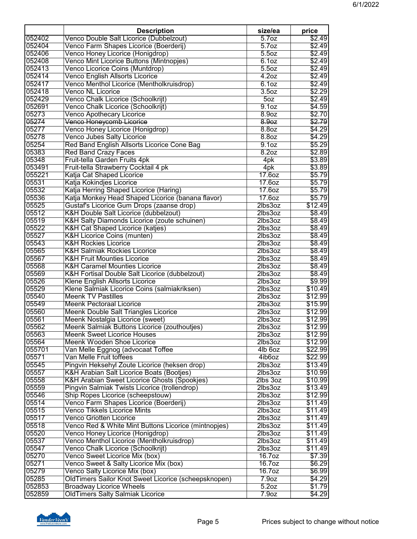| 052404<br>Venco Farm Shapes Licorice (Boerderij)<br>5.7 <sub>oz</sub><br>\$2.49<br>052406<br>Venco Honey Licorice (Honigdrop)<br>5.50Z<br>\$2.49<br>Venco Mint Licorice Buttons (Mintnopjes)<br>052408<br>6.10z<br>\$2.49<br>Venco Licorice Coins (Muntdrop)<br>5.5oz<br>052413<br>\$2.49<br>052414<br><b>Venco English Allsorts Licorice</b><br>4.20z<br>\$2.49<br>Venco Menthol Licorice (Mentholkruisdrop)<br>052417<br>6.10z<br>\$2.49<br>052418<br>3.5 <sub>oz</sub><br>\$2.29<br><b>Venco NL Licorice</b><br>052429<br>Venco Chalk Licorice (Schoolkrijt)<br>\$2.49<br>50z<br>\$4.59<br>052691<br>Venco Chalk Licorice (Schoolkrijt)<br>9.1 <sub>oz</sub><br>05273<br><b>Venco Apothecary Licorice</b><br>8.9oz<br>\$2.70<br>05274<br>Venco Honeycomb Licorice<br>\$2.79<br>8.9 <sub>oz</sub><br>05277<br>Venco Honey Licorice (Honigdrop)<br>8.8 <sub>oz</sub><br>\$4.29<br>05278<br>\$4.29<br>Venco Jubes Salty Licorice<br>8.8oz<br>05254<br>\$5.29<br>Red Band English Allsorts Licorice Cone Bag<br>9.1 <sub>oz</sub><br>8.2 <sub>oz</sub><br>\$2.89<br>05383<br><b>Red Band Crazy Faces</b><br>Fruit-tella Garden Fruits 4pk<br>\$3.89<br>05348<br>4pk<br>053491<br>Fruit-tella Strawberry Cocktail 4 pk<br>\$3.89<br>4pk<br>055221<br>Katja Cat Shaped Licorice<br>\$5.79<br>17.60z<br>05531<br>Katja Kokindjes Licorice<br>17.60z<br>\$5.79<br>05532<br>Katja Herring Shaped Licorice (Haring)<br>17.60Z<br>\$5.79<br>05536<br>Katja Monkey Head Shaped Licorice (banana flavor)<br>17.60z<br>\$5.79<br>Gustaf's Licorice Gum Drops (zaanse drop)<br>05525<br>$2$ lbs $3$ oz<br>\$12.49<br>05512<br>K&H Double Salt Licorice (dubbelzout)<br>\$8.49<br>2lbs3oz<br>05519<br>K&H Salty Diamonds Licorice (zoute schuinen)<br>\$8.49<br>2lbs3oz<br>05522<br>K&H Cat Shaped Licorice (katjes)<br>2lbs3oz<br>\$8.49<br>05527<br>K&H Licorice Coins (munten)<br>2lbs3oz<br>\$8.49<br>05543<br><b>K&amp;H Rockies Licorice</b><br>2lbs3oz<br>\$8.49<br>05565<br>2lbs3oz<br>\$8.49<br><b>K&amp;H Salmiak Rockies Licorice</b><br>05567<br>\$8.49<br><b>K&amp;H Fruit Mounties Licorice</b><br>2lbs3oz<br>\$8.49<br>05568<br><b>K&amp;H Caramel Mounties Licorice</b><br>2lbs3oz<br>05569<br>\$8.49<br>K&H Fortisal Double Salt Licorice (dubbelzout)<br>2lbs3oz<br>05526<br><b>Klene English Allsorts Licorice</b><br>2lbs3oz<br>\$9.99<br>05529<br>Klene Salmiak Licorice Coins (salmiakriksen)<br>2lbs3oz<br>\$10.49<br>05540<br><b>Meenk TV Pastilles</b><br>2lbs3oz<br>\$12.99<br>05549<br>2lbs3oz<br>\$15.99<br><b>Meenk Pectoraal Licorice</b><br>05560<br><b>Meenk Double Salt Triangles Licorice</b><br>\$12.99<br>2lbs3oz<br>05561<br>\$12.99<br>Meenk Nostalgia Licorice (sweet)<br>2lbs3oz<br>05562<br>Meenk Salmiak Buttons Licorice (zouthoutjes)<br>\$12.99<br>2lbs3oz<br>05563<br><b>Meenk Sweet Licorice Houses</b><br>$2$ lbs $3$ oz<br>\$12.99<br>05564<br><b>Meenk Wooden Shoe Licorice</b><br>\$12.99<br>2lbs3oz<br>055701<br>Van Melle Eggnog (advocaat Toffee<br>4lb 6oz<br>\$22.99<br>Van Melle Fruit toffees<br>05571<br>4ib6oz<br>\$22.99<br>05545<br>Pingvin Heksehyl Zoute Licorice (heksen drop)<br>2lbs3oz<br>\$13.49<br>05557<br><b>K&amp;H Arabian Salt Licorice Boats (Bootjes)</b><br>\$10.99<br>2lbs3oz<br>05558<br>K&H Arabian Sweet Licorice Ghosts (Spookjes)<br>\$10.99<br>2lbs 3oz<br>05559<br>Pingvin Salmiak Twists Licorice (trollendrop)<br>2lbs3oz<br>\$13.49<br>05546<br>Ship Ropes Licorice (scheepstouw)<br>2lbs3oz<br>\$12.99<br>05514<br>Venco Farm Shapes Licorice (Boerderij)<br>$2$ lbs $3$ oz<br>\$11.49<br>05515<br>2lbs3oz<br>Venco Tikkels Licorice Mints<br>\$11.49<br>05517<br>Venco Griotten Licorice<br>2lbs3oz<br>\$11.49<br>05518<br>Venco Red & White Mint Buttons Licorice (mintnopjes)<br>2lbs3oz<br>\$11.49<br>05520<br>Venco Honey Licorice (Honigdrop)<br>2lbs3oz<br>\$11.49<br>05537<br>Venco Menthol Licorice (Mentholkruisdrop)<br>2lbs3oz<br>\$11.49<br>05547<br>Venco Chalk Licorice (Schoolkrijt)<br>2lbs3oz<br>\$11.49<br>05270<br>Venco Sweet Licorice Mix (box)<br>16.7oz<br>\$7.39<br>05271<br>Venco Sweet & Salty Licorice Mix (box)<br>16.7oz<br>\$6.29<br>Venco Salty Licorice Mix (box)<br>16.7 <sub>oz</sub><br>OldTimers Sailor Knot Sweet Licorice (scheepsknopen)<br>\$4.29<br>7.9 <sub>oz</sub><br><b>Broadway Licorice Wheels</b><br>5.2oz<br>\$1.79<br><b>OldTimers Salty Salmiak Licorice</b><br>7.9 <sub>oz</sub> |        | <b>Description</b>                      | size/ea           | price  |
|--------------------------------------------------------------------------------------------------------------------------------------------------------------------------------------------------------------------------------------------------------------------------------------------------------------------------------------------------------------------------------------------------------------------------------------------------------------------------------------------------------------------------------------------------------------------------------------------------------------------------------------------------------------------------------------------------------------------------------------------------------------------------------------------------------------------------------------------------------------------------------------------------------------------------------------------------------------------------------------------------------------------------------------------------------------------------------------------------------------------------------------------------------------------------------------------------------------------------------------------------------------------------------------------------------------------------------------------------------------------------------------------------------------------------------------------------------------------------------------------------------------------------------------------------------------------------------------------------------------------------------------------------------------------------------------------------------------------------------------------------------------------------------------------------------------------------------------------------------------------------------------------------------------------------------------------------------------------------------------------------------------------------------------------------------------------------------------------------------------------------------------------------------------------------------------------------------------------------------------------------------------------------------------------------------------------------------------------------------------------------------------------------------------------------------------------------------------------------------------------------------------------------------------------------------------------------------------------------------------------------------------------------------------------------------------------------------------------------------------------------------------------------------------------------------------------------------------------------------------------------------------------------------------------------------------------------------------------------------------------------------------------------------------------------------------------------------------------------------------------------------------------------------------------------------------------------------------------------------------------------------------------------------------------------------------------------------------------------------------------------------------------------------------------------------------------------------------------------------------------------------------------------------------------------------------------------------------------------------------------------------------------------------------------------------------------------------------------------------------------------------------------------------------------------------------------------------------------------------------------------------------------------------------------------------------------------------------------------------------------------------------------------------------------------------------------------------------------------------------------------------------------------------------------------------------------------------------------------------------------------------------------------------------------------------------------------------------------------------------------------------------------------------------------|--------|-----------------------------------------|-------------------|--------|
|                                                                                                                                                                                                                                                                                                                                                                                                                                                                                                                                                                                                                                                                                                                                                                                                                                                                                                                                                                                                                                                                                                                                                                                                                                                                                                                                                                                                                                                                                                                                                                                                                                                                                                                                                                                                                                                                                                                                                                                                                                                                                                                                                                                                                                                                                                                                                                                                                                                                                                                                                                                                                                                                                                                                                                                                                                                                                                                                                                                                                                                                                                                                                                                                                                                                                                                                                                                                                                                                                                                                                                                                                                                                                                                                                                                                                                                                                                                                                                                                                                                                                                                                                                                                                                                                                                                                                                                                                    | 052402 | Venco Double Salt Licorice (Dubbelzout) | 5.7 <sub>oz</sub> | \$2.49 |
|                                                                                                                                                                                                                                                                                                                                                                                                                                                                                                                                                                                                                                                                                                                                                                                                                                                                                                                                                                                                                                                                                                                                                                                                                                                                                                                                                                                                                                                                                                                                                                                                                                                                                                                                                                                                                                                                                                                                                                                                                                                                                                                                                                                                                                                                                                                                                                                                                                                                                                                                                                                                                                                                                                                                                                                                                                                                                                                                                                                                                                                                                                                                                                                                                                                                                                                                                                                                                                                                                                                                                                                                                                                                                                                                                                                                                                                                                                                                                                                                                                                                                                                                                                                                                                                                                                                                                                                                                    |        |                                         |                   |        |
|                                                                                                                                                                                                                                                                                                                                                                                                                                                                                                                                                                                                                                                                                                                                                                                                                                                                                                                                                                                                                                                                                                                                                                                                                                                                                                                                                                                                                                                                                                                                                                                                                                                                                                                                                                                                                                                                                                                                                                                                                                                                                                                                                                                                                                                                                                                                                                                                                                                                                                                                                                                                                                                                                                                                                                                                                                                                                                                                                                                                                                                                                                                                                                                                                                                                                                                                                                                                                                                                                                                                                                                                                                                                                                                                                                                                                                                                                                                                                                                                                                                                                                                                                                                                                                                                                                                                                                                                                    |        |                                         |                   |        |
|                                                                                                                                                                                                                                                                                                                                                                                                                                                                                                                                                                                                                                                                                                                                                                                                                                                                                                                                                                                                                                                                                                                                                                                                                                                                                                                                                                                                                                                                                                                                                                                                                                                                                                                                                                                                                                                                                                                                                                                                                                                                                                                                                                                                                                                                                                                                                                                                                                                                                                                                                                                                                                                                                                                                                                                                                                                                                                                                                                                                                                                                                                                                                                                                                                                                                                                                                                                                                                                                                                                                                                                                                                                                                                                                                                                                                                                                                                                                                                                                                                                                                                                                                                                                                                                                                                                                                                                                                    |        |                                         |                   |        |
|                                                                                                                                                                                                                                                                                                                                                                                                                                                                                                                                                                                                                                                                                                                                                                                                                                                                                                                                                                                                                                                                                                                                                                                                                                                                                                                                                                                                                                                                                                                                                                                                                                                                                                                                                                                                                                                                                                                                                                                                                                                                                                                                                                                                                                                                                                                                                                                                                                                                                                                                                                                                                                                                                                                                                                                                                                                                                                                                                                                                                                                                                                                                                                                                                                                                                                                                                                                                                                                                                                                                                                                                                                                                                                                                                                                                                                                                                                                                                                                                                                                                                                                                                                                                                                                                                                                                                                                                                    |        |                                         |                   |        |
|                                                                                                                                                                                                                                                                                                                                                                                                                                                                                                                                                                                                                                                                                                                                                                                                                                                                                                                                                                                                                                                                                                                                                                                                                                                                                                                                                                                                                                                                                                                                                                                                                                                                                                                                                                                                                                                                                                                                                                                                                                                                                                                                                                                                                                                                                                                                                                                                                                                                                                                                                                                                                                                                                                                                                                                                                                                                                                                                                                                                                                                                                                                                                                                                                                                                                                                                                                                                                                                                                                                                                                                                                                                                                                                                                                                                                                                                                                                                                                                                                                                                                                                                                                                                                                                                                                                                                                                                                    |        |                                         |                   |        |
|                                                                                                                                                                                                                                                                                                                                                                                                                                                                                                                                                                                                                                                                                                                                                                                                                                                                                                                                                                                                                                                                                                                                                                                                                                                                                                                                                                                                                                                                                                                                                                                                                                                                                                                                                                                                                                                                                                                                                                                                                                                                                                                                                                                                                                                                                                                                                                                                                                                                                                                                                                                                                                                                                                                                                                                                                                                                                                                                                                                                                                                                                                                                                                                                                                                                                                                                                                                                                                                                                                                                                                                                                                                                                                                                                                                                                                                                                                                                                                                                                                                                                                                                                                                                                                                                                                                                                                                                                    |        |                                         |                   |        |
|                                                                                                                                                                                                                                                                                                                                                                                                                                                                                                                                                                                                                                                                                                                                                                                                                                                                                                                                                                                                                                                                                                                                                                                                                                                                                                                                                                                                                                                                                                                                                                                                                                                                                                                                                                                                                                                                                                                                                                                                                                                                                                                                                                                                                                                                                                                                                                                                                                                                                                                                                                                                                                                                                                                                                                                                                                                                                                                                                                                                                                                                                                                                                                                                                                                                                                                                                                                                                                                                                                                                                                                                                                                                                                                                                                                                                                                                                                                                                                                                                                                                                                                                                                                                                                                                                                                                                                                                                    |        |                                         |                   |        |
|                                                                                                                                                                                                                                                                                                                                                                                                                                                                                                                                                                                                                                                                                                                                                                                                                                                                                                                                                                                                                                                                                                                                                                                                                                                                                                                                                                                                                                                                                                                                                                                                                                                                                                                                                                                                                                                                                                                                                                                                                                                                                                                                                                                                                                                                                                                                                                                                                                                                                                                                                                                                                                                                                                                                                                                                                                                                                                                                                                                                                                                                                                                                                                                                                                                                                                                                                                                                                                                                                                                                                                                                                                                                                                                                                                                                                                                                                                                                                                                                                                                                                                                                                                                                                                                                                                                                                                                                                    |        |                                         |                   |        |
|                                                                                                                                                                                                                                                                                                                                                                                                                                                                                                                                                                                                                                                                                                                                                                                                                                                                                                                                                                                                                                                                                                                                                                                                                                                                                                                                                                                                                                                                                                                                                                                                                                                                                                                                                                                                                                                                                                                                                                                                                                                                                                                                                                                                                                                                                                                                                                                                                                                                                                                                                                                                                                                                                                                                                                                                                                                                                                                                                                                                                                                                                                                                                                                                                                                                                                                                                                                                                                                                                                                                                                                                                                                                                                                                                                                                                                                                                                                                                                                                                                                                                                                                                                                                                                                                                                                                                                                                                    |        |                                         |                   |        |
|                                                                                                                                                                                                                                                                                                                                                                                                                                                                                                                                                                                                                                                                                                                                                                                                                                                                                                                                                                                                                                                                                                                                                                                                                                                                                                                                                                                                                                                                                                                                                                                                                                                                                                                                                                                                                                                                                                                                                                                                                                                                                                                                                                                                                                                                                                                                                                                                                                                                                                                                                                                                                                                                                                                                                                                                                                                                                                                                                                                                                                                                                                                                                                                                                                                                                                                                                                                                                                                                                                                                                                                                                                                                                                                                                                                                                                                                                                                                                                                                                                                                                                                                                                                                                                                                                                                                                                                                                    |        |                                         |                   |        |
|                                                                                                                                                                                                                                                                                                                                                                                                                                                                                                                                                                                                                                                                                                                                                                                                                                                                                                                                                                                                                                                                                                                                                                                                                                                                                                                                                                                                                                                                                                                                                                                                                                                                                                                                                                                                                                                                                                                                                                                                                                                                                                                                                                                                                                                                                                                                                                                                                                                                                                                                                                                                                                                                                                                                                                                                                                                                                                                                                                                                                                                                                                                                                                                                                                                                                                                                                                                                                                                                                                                                                                                                                                                                                                                                                                                                                                                                                                                                                                                                                                                                                                                                                                                                                                                                                                                                                                                                                    |        |                                         |                   |        |
|                                                                                                                                                                                                                                                                                                                                                                                                                                                                                                                                                                                                                                                                                                                                                                                                                                                                                                                                                                                                                                                                                                                                                                                                                                                                                                                                                                                                                                                                                                                                                                                                                                                                                                                                                                                                                                                                                                                                                                                                                                                                                                                                                                                                                                                                                                                                                                                                                                                                                                                                                                                                                                                                                                                                                                                                                                                                                                                                                                                                                                                                                                                                                                                                                                                                                                                                                                                                                                                                                                                                                                                                                                                                                                                                                                                                                                                                                                                                                                                                                                                                                                                                                                                                                                                                                                                                                                                                                    |        |                                         |                   |        |
|                                                                                                                                                                                                                                                                                                                                                                                                                                                                                                                                                                                                                                                                                                                                                                                                                                                                                                                                                                                                                                                                                                                                                                                                                                                                                                                                                                                                                                                                                                                                                                                                                                                                                                                                                                                                                                                                                                                                                                                                                                                                                                                                                                                                                                                                                                                                                                                                                                                                                                                                                                                                                                                                                                                                                                                                                                                                                                                                                                                                                                                                                                                                                                                                                                                                                                                                                                                                                                                                                                                                                                                                                                                                                                                                                                                                                                                                                                                                                                                                                                                                                                                                                                                                                                                                                                                                                                                                                    |        |                                         |                   |        |
|                                                                                                                                                                                                                                                                                                                                                                                                                                                                                                                                                                                                                                                                                                                                                                                                                                                                                                                                                                                                                                                                                                                                                                                                                                                                                                                                                                                                                                                                                                                                                                                                                                                                                                                                                                                                                                                                                                                                                                                                                                                                                                                                                                                                                                                                                                                                                                                                                                                                                                                                                                                                                                                                                                                                                                                                                                                                                                                                                                                                                                                                                                                                                                                                                                                                                                                                                                                                                                                                                                                                                                                                                                                                                                                                                                                                                                                                                                                                                                                                                                                                                                                                                                                                                                                                                                                                                                                                                    |        |                                         |                   |        |
|                                                                                                                                                                                                                                                                                                                                                                                                                                                                                                                                                                                                                                                                                                                                                                                                                                                                                                                                                                                                                                                                                                                                                                                                                                                                                                                                                                                                                                                                                                                                                                                                                                                                                                                                                                                                                                                                                                                                                                                                                                                                                                                                                                                                                                                                                                                                                                                                                                                                                                                                                                                                                                                                                                                                                                                                                                                                                                                                                                                                                                                                                                                                                                                                                                                                                                                                                                                                                                                                                                                                                                                                                                                                                                                                                                                                                                                                                                                                                                                                                                                                                                                                                                                                                                                                                                                                                                                                                    |        |                                         |                   |        |
|                                                                                                                                                                                                                                                                                                                                                                                                                                                                                                                                                                                                                                                                                                                                                                                                                                                                                                                                                                                                                                                                                                                                                                                                                                                                                                                                                                                                                                                                                                                                                                                                                                                                                                                                                                                                                                                                                                                                                                                                                                                                                                                                                                                                                                                                                                                                                                                                                                                                                                                                                                                                                                                                                                                                                                                                                                                                                                                                                                                                                                                                                                                                                                                                                                                                                                                                                                                                                                                                                                                                                                                                                                                                                                                                                                                                                                                                                                                                                                                                                                                                                                                                                                                                                                                                                                                                                                                                                    |        |                                         |                   |        |
|                                                                                                                                                                                                                                                                                                                                                                                                                                                                                                                                                                                                                                                                                                                                                                                                                                                                                                                                                                                                                                                                                                                                                                                                                                                                                                                                                                                                                                                                                                                                                                                                                                                                                                                                                                                                                                                                                                                                                                                                                                                                                                                                                                                                                                                                                                                                                                                                                                                                                                                                                                                                                                                                                                                                                                                                                                                                                                                                                                                                                                                                                                                                                                                                                                                                                                                                                                                                                                                                                                                                                                                                                                                                                                                                                                                                                                                                                                                                                                                                                                                                                                                                                                                                                                                                                                                                                                                                                    |        |                                         |                   |        |
|                                                                                                                                                                                                                                                                                                                                                                                                                                                                                                                                                                                                                                                                                                                                                                                                                                                                                                                                                                                                                                                                                                                                                                                                                                                                                                                                                                                                                                                                                                                                                                                                                                                                                                                                                                                                                                                                                                                                                                                                                                                                                                                                                                                                                                                                                                                                                                                                                                                                                                                                                                                                                                                                                                                                                                                                                                                                                                                                                                                                                                                                                                                                                                                                                                                                                                                                                                                                                                                                                                                                                                                                                                                                                                                                                                                                                                                                                                                                                                                                                                                                                                                                                                                                                                                                                                                                                                                                                    |        |                                         |                   |        |
|                                                                                                                                                                                                                                                                                                                                                                                                                                                                                                                                                                                                                                                                                                                                                                                                                                                                                                                                                                                                                                                                                                                                                                                                                                                                                                                                                                                                                                                                                                                                                                                                                                                                                                                                                                                                                                                                                                                                                                                                                                                                                                                                                                                                                                                                                                                                                                                                                                                                                                                                                                                                                                                                                                                                                                                                                                                                                                                                                                                                                                                                                                                                                                                                                                                                                                                                                                                                                                                                                                                                                                                                                                                                                                                                                                                                                                                                                                                                                                                                                                                                                                                                                                                                                                                                                                                                                                                                                    |        |                                         |                   |        |
|                                                                                                                                                                                                                                                                                                                                                                                                                                                                                                                                                                                                                                                                                                                                                                                                                                                                                                                                                                                                                                                                                                                                                                                                                                                                                                                                                                                                                                                                                                                                                                                                                                                                                                                                                                                                                                                                                                                                                                                                                                                                                                                                                                                                                                                                                                                                                                                                                                                                                                                                                                                                                                                                                                                                                                                                                                                                                                                                                                                                                                                                                                                                                                                                                                                                                                                                                                                                                                                                                                                                                                                                                                                                                                                                                                                                                                                                                                                                                                                                                                                                                                                                                                                                                                                                                                                                                                                                                    |        |                                         |                   |        |
|                                                                                                                                                                                                                                                                                                                                                                                                                                                                                                                                                                                                                                                                                                                                                                                                                                                                                                                                                                                                                                                                                                                                                                                                                                                                                                                                                                                                                                                                                                                                                                                                                                                                                                                                                                                                                                                                                                                                                                                                                                                                                                                                                                                                                                                                                                                                                                                                                                                                                                                                                                                                                                                                                                                                                                                                                                                                                                                                                                                                                                                                                                                                                                                                                                                                                                                                                                                                                                                                                                                                                                                                                                                                                                                                                                                                                                                                                                                                                                                                                                                                                                                                                                                                                                                                                                                                                                                                                    |        |                                         |                   |        |
|                                                                                                                                                                                                                                                                                                                                                                                                                                                                                                                                                                                                                                                                                                                                                                                                                                                                                                                                                                                                                                                                                                                                                                                                                                                                                                                                                                                                                                                                                                                                                                                                                                                                                                                                                                                                                                                                                                                                                                                                                                                                                                                                                                                                                                                                                                                                                                                                                                                                                                                                                                                                                                                                                                                                                                                                                                                                                                                                                                                                                                                                                                                                                                                                                                                                                                                                                                                                                                                                                                                                                                                                                                                                                                                                                                                                                                                                                                                                                                                                                                                                                                                                                                                                                                                                                                                                                                                                                    |        |                                         |                   |        |
|                                                                                                                                                                                                                                                                                                                                                                                                                                                                                                                                                                                                                                                                                                                                                                                                                                                                                                                                                                                                                                                                                                                                                                                                                                                                                                                                                                                                                                                                                                                                                                                                                                                                                                                                                                                                                                                                                                                                                                                                                                                                                                                                                                                                                                                                                                                                                                                                                                                                                                                                                                                                                                                                                                                                                                                                                                                                                                                                                                                                                                                                                                                                                                                                                                                                                                                                                                                                                                                                                                                                                                                                                                                                                                                                                                                                                                                                                                                                                                                                                                                                                                                                                                                                                                                                                                                                                                                                                    |        |                                         |                   |        |
|                                                                                                                                                                                                                                                                                                                                                                                                                                                                                                                                                                                                                                                                                                                                                                                                                                                                                                                                                                                                                                                                                                                                                                                                                                                                                                                                                                                                                                                                                                                                                                                                                                                                                                                                                                                                                                                                                                                                                                                                                                                                                                                                                                                                                                                                                                                                                                                                                                                                                                                                                                                                                                                                                                                                                                                                                                                                                                                                                                                                                                                                                                                                                                                                                                                                                                                                                                                                                                                                                                                                                                                                                                                                                                                                                                                                                                                                                                                                                                                                                                                                                                                                                                                                                                                                                                                                                                                                                    |        |                                         |                   |        |
|                                                                                                                                                                                                                                                                                                                                                                                                                                                                                                                                                                                                                                                                                                                                                                                                                                                                                                                                                                                                                                                                                                                                                                                                                                                                                                                                                                                                                                                                                                                                                                                                                                                                                                                                                                                                                                                                                                                                                                                                                                                                                                                                                                                                                                                                                                                                                                                                                                                                                                                                                                                                                                                                                                                                                                                                                                                                                                                                                                                                                                                                                                                                                                                                                                                                                                                                                                                                                                                                                                                                                                                                                                                                                                                                                                                                                                                                                                                                                                                                                                                                                                                                                                                                                                                                                                                                                                                                                    |        |                                         |                   |        |
|                                                                                                                                                                                                                                                                                                                                                                                                                                                                                                                                                                                                                                                                                                                                                                                                                                                                                                                                                                                                                                                                                                                                                                                                                                                                                                                                                                                                                                                                                                                                                                                                                                                                                                                                                                                                                                                                                                                                                                                                                                                                                                                                                                                                                                                                                                                                                                                                                                                                                                                                                                                                                                                                                                                                                                                                                                                                                                                                                                                                                                                                                                                                                                                                                                                                                                                                                                                                                                                                                                                                                                                                                                                                                                                                                                                                                                                                                                                                                                                                                                                                                                                                                                                                                                                                                                                                                                                                                    |        |                                         |                   |        |
|                                                                                                                                                                                                                                                                                                                                                                                                                                                                                                                                                                                                                                                                                                                                                                                                                                                                                                                                                                                                                                                                                                                                                                                                                                                                                                                                                                                                                                                                                                                                                                                                                                                                                                                                                                                                                                                                                                                                                                                                                                                                                                                                                                                                                                                                                                                                                                                                                                                                                                                                                                                                                                                                                                                                                                                                                                                                                                                                                                                                                                                                                                                                                                                                                                                                                                                                                                                                                                                                                                                                                                                                                                                                                                                                                                                                                                                                                                                                                                                                                                                                                                                                                                                                                                                                                                                                                                                                                    |        |                                         |                   |        |
|                                                                                                                                                                                                                                                                                                                                                                                                                                                                                                                                                                                                                                                                                                                                                                                                                                                                                                                                                                                                                                                                                                                                                                                                                                                                                                                                                                                                                                                                                                                                                                                                                                                                                                                                                                                                                                                                                                                                                                                                                                                                                                                                                                                                                                                                                                                                                                                                                                                                                                                                                                                                                                                                                                                                                                                                                                                                                                                                                                                                                                                                                                                                                                                                                                                                                                                                                                                                                                                                                                                                                                                                                                                                                                                                                                                                                                                                                                                                                                                                                                                                                                                                                                                                                                                                                                                                                                                                                    |        |                                         |                   |        |
|                                                                                                                                                                                                                                                                                                                                                                                                                                                                                                                                                                                                                                                                                                                                                                                                                                                                                                                                                                                                                                                                                                                                                                                                                                                                                                                                                                                                                                                                                                                                                                                                                                                                                                                                                                                                                                                                                                                                                                                                                                                                                                                                                                                                                                                                                                                                                                                                                                                                                                                                                                                                                                                                                                                                                                                                                                                                                                                                                                                                                                                                                                                                                                                                                                                                                                                                                                                                                                                                                                                                                                                                                                                                                                                                                                                                                                                                                                                                                                                                                                                                                                                                                                                                                                                                                                                                                                                                                    |        |                                         |                   |        |
|                                                                                                                                                                                                                                                                                                                                                                                                                                                                                                                                                                                                                                                                                                                                                                                                                                                                                                                                                                                                                                                                                                                                                                                                                                                                                                                                                                                                                                                                                                                                                                                                                                                                                                                                                                                                                                                                                                                                                                                                                                                                                                                                                                                                                                                                                                                                                                                                                                                                                                                                                                                                                                                                                                                                                                                                                                                                                                                                                                                                                                                                                                                                                                                                                                                                                                                                                                                                                                                                                                                                                                                                                                                                                                                                                                                                                                                                                                                                                                                                                                                                                                                                                                                                                                                                                                                                                                                                                    |        |                                         |                   |        |
|                                                                                                                                                                                                                                                                                                                                                                                                                                                                                                                                                                                                                                                                                                                                                                                                                                                                                                                                                                                                                                                                                                                                                                                                                                                                                                                                                                                                                                                                                                                                                                                                                                                                                                                                                                                                                                                                                                                                                                                                                                                                                                                                                                                                                                                                                                                                                                                                                                                                                                                                                                                                                                                                                                                                                                                                                                                                                                                                                                                                                                                                                                                                                                                                                                                                                                                                                                                                                                                                                                                                                                                                                                                                                                                                                                                                                                                                                                                                                                                                                                                                                                                                                                                                                                                                                                                                                                                                                    |        |                                         |                   |        |
|                                                                                                                                                                                                                                                                                                                                                                                                                                                                                                                                                                                                                                                                                                                                                                                                                                                                                                                                                                                                                                                                                                                                                                                                                                                                                                                                                                                                                                                                                                                                                                                                                                                                                                                                                                                                                                                                                                                                                                                                                                                                                                                                                                                                                                                                                                                                                                                                                                                                                                                                                                                                                                                                                                                                                                                                                                                                                                                                                                                                                                                                                                                                                                                                                                                                                                                                                                                                                                                                                                                                                                                                                                                                                                                                                                                                                                                                                                                                                                                                                                                                                                                                                                                                                                                                                                                                                                                                                    |        |                                         |                   |        |
|                                                                                                                                                                                                                                                                                                                                                                                                                                                                                                                                                                                                                                                                                                                                                                                                                                                                                                                                                                                                                                                                                                                                                                                                                                                                                                                                                                                                                                                                                                                                                                                                                                                                                                                                                                                                                                                                                                                                                                                                                                                                                                                                                                                                                                                                                                                                                                                                                                                                                                                                                                                                                                                                                                                                                                                                                                                                                                                                                                                                                                                                                                                                                                                                                                                                                                                                                                                                                                                                                                                                                                                                                                                                                                                                                                                                                                                                                                                                                                                                                                                                                                                                                                                                                                                                                                                                                                                                                    |        |                                         |                   |        |
|                                                                                                                                                                                                                                                                                                                                                                                                                                                                                                                                                                                                                                                                                                                                                                                                                                                                                                                                                                                                                                                                                                                                                                                                                                                                                                                                                                                                                                                                                                                                                                                                                                                                                                                                                                                                                                                                                                                                                                                                                                                                                                                                                                                                                                                                                                                                                                                                                                                                                                                                                                                                                                                                                                                                                                                                                                                                                                                                                                                                                                                                                                                                                                                                                                                                                                                                                                                                                                                                                                                                                                                                                                                                                                                                                                                                                                                                                                                                                                                                                                                                                                                                                                                                                                                                                                                                                                                                                    |        |                                         |                   |        |
|                                                                                                                                                                                                                                                                                                                                                                                                                                                                                                                                                                                                                                                                                                                                                                                                                                                                                                                                                                                                                                                                                                                                                                                                                                                                                                                                                                                                                                                                                                                                                                                                                                                                                                                                                                                                                                                                                                                                                                                                                                                                                                                                                                                                                                                                                                                                                                                                                                                                                                                                                                                                                                                                                                                                                                                                                                                                                                                                                                                                                                                                                                                                                                                                                                                                                                                                                                                                                                                                                                                                                                                                                                                                                                                                                                                                                                                                                                                                                                                                                                                                                                                                                                                                                                                                                                                                                                                                                    |        |                                         |                   |        |
|                                                                                                                                                                                                                                                                                                                                                                                                                                                                                                                                                                                                                                                                                                                                                                                                                                                                                                                                                                                                                                                                                                                                                                                                                                                                                                                                                                                                                                                                                                                                                                                                                                                                                                                                                                                                                                                                                                                                                                                                                                                                                                                                                                                                                                                                                                                                                                                                                                                                                                                                                                                                                                                                                                                                                                                                                                                                                                                                                                                                                                                                                                                                                                                                                                                                                                                                                                                                                                                                                                                                                                                                                                                                                                                                                                                                                                                                                                                                                                                                                                                                                                                                                                                                                                                                                                                                                                                                                    |        |                                         |                   |        |
|                                                                                                                                                                                                                                                                                                                                                                                                                                                                                                                                                                                                                                                                                                                                                                                                                                                                                                                                                                                                                                                                                                                                                                                                                                                                                                                                                                                                                                                                                                                                                                                                                                                                                                                                                                                                                                                                                                                                                                                                                                                                                                                                                                                                                                                                                                                                                                                                                                                                                                                                                                                                                                                                                                                                                                                                                                                                                                                                                                                                                                                                                                                                                                                                                                                                                                                                                                                                                                                                                                                                                                                                                                                                                                                                                                                                                                                                                                                                                                                                                                                                                                                                                                                                                                                                                                                                                                                                                    |        |                                         |                   |        |
|                                                                                                                                                                                                                                                                                                                                                                                                                                                                                                                                                                                                                                                                                                                                                                                                                                                                                                                                                                                                                                                                                                                                                                                                                                                                                                                                                                                                                                                                                                                                                                                                                                                                                                                                                                                                                                                                                                                                                                                                                                                                                                                                                                                                                                                                                                                                                                                                                                                                                                                                                                                                                                                                                                                                                                                                                                                                                                                                                                                                                                                                                                                                                                                                                                                                                                                                                                                                                                                                                                                                                                                                                                                                                                                                                                                                                                                                                                                                                                                                                                                                                                                                                                                                                                                                                                                                                                                                                    |        |                                         |                   |        |
|                                                                                                                                                                                                                                                                                                                                                                                                                                                                                                                                                                                                                                                                                                                                                                                                                                                                                                                                                                                                                                                                                                                                                                                                                                                                                                                                                                                                                                                                                                                                                                                                                                                                                                                                                                                                                                                                                                                                                                                                                                                                                                                                                                                                                                                                                                                                                                                                                                                                                                                                                                                                                                                                                                                                                                                                                                                                                                                                                                                                                                                                                                                                                                                                                                                                                                                                                                                                                                                                                                                                                                                                                                                                                                                                                                                                                                                                                                                                                                                                                                                                                                                                                                                                                                                                                                                                                                                                                    |        |                                         |                   |        |
|                                                                                                                                                                                                                                                                                                                                                                                                                                                                                                                                                                                                                                                                                                                                                                                                                                                                                                                                                                                                                                                                                                                                                                                                                                                                                                                                                                                                                                                                                                                                                                                                                                                                                                                                                                                                                                                                                                                                                                                                                                                                                                                                                                                                                                                                                                                                                                                                                                                                                                                                                                                                                                                                                                                                                                                                                                                                                                                                                                                                                                                                                                                                                                                                                                                                                                                                                                                                                                                                                                                                                                                                                                                                                                                                                                                                                                                                                                                                                                                                                                                                                                                                                                                                                                                                                                                                                                                                                    |        |                                         |                   |        |
|                                                                                                                                                                                                                                                                                                                                                                                                                                                                                                                                                                                                                                                                                                                                                                                                                                                                                                                                                                                                                                                                                                                                                                                                                                                                                                                                                                                                                                                                                                                                                                                                                                                                                                                                                                                                                                                                                                                                                                                                                                                                                                                                                                                                                                                                                                                                                                                                                                                                                                                                                                                                                                                                                                                                                                                                                                                                                                                                                                                                                                                                                                                                                                                                                                                                                                                                                                                                                                                                                                                                                                                                                                                                                                                                                                                                                                                                                                                                                                                                                                                                                                                                                                                                                                                                                                                                                                                                                    |        |                                         |                   |        |
|                                                                                                                                                                                                                                                                                                                                                                                                                                                                                                                                                                                                                                                                                                                                                                                                                                                                                                                                                                                                                                                                                                                                                                                                                                                                                                                                                                                                                                                                                                                                                                                                                                                                                                                                                                                                                                                                                                                                                                                                                                                                                                                                                                                                                                                                                                                                                                                                                                                                                                                                                                                                                                                                                                                                                                                                                                                                                                                                                                                                                                                                                                                                                                                                                                                                                                                                                                                                                                                                                                                                                                                                                                                                                                                                                                                                                                                                                                                                                                                                                                                                                                                                                                                                                                                                                                                                                                                                                    |        |                                         |                   |        |
|                                                                                                                                                                                                                                                                                                                                                                                                                                                                                                                                                                                                                                                                                                                                                                                                                                                                                                                                                                                                                                                                                                                                                                                                                                                                                                                                                                                                                                                                                                                                                                                                                                                                                                                                                                                                                                                                                                                                                                                                                                                                                                                                                                                                                                                                                                                                                                                                                                                                                                                                                                                                                                                                                                                                                                                                                                                                                                                                                                                                                                                                                                                                                                                                                                                                                                                                                                                                                                                                                                                                                                                                                                                                                                                                                                                                                                                                                                                                                                                                                                                                                                                                                                                                                                                                                                                                                                                                                    |        |                                         |                   |        |
|                                                                                                                                                                                                                                                                                                                                                                                                                                                                                                                                                                                                                                                                                                                                                                                                                                                                                                                                                                                                                                                                                                                                                                                                                                                                                                                                                                                                                                                                                                                                                                                                                                                                                                                                                                                                                                                                                                                                                                                                                                                                                                                                                                                                                                                                                                                                                                                                                                                                                                                                                                                                                                                                                                                                                                                                                                                                                                                                                                                                                                                                                                                                                                                                                                                                                                                                                                                                                                                                                                                                                                                                                                                                                                                                                                                                                                                                                                                                                                                                                                                                                                                                                                                                                                                                                                                                                                                                                    |        |                                         |                   |        |
|                                                                                                                                                                                                                                                                                                                                                                                                                                                                                                                                                                                                                                                                                                                                                                                                                                                                                                                                                                                                                                                                                                                                                                                                                                                                                                                                                                                                                                                                                                                                                                                                                                                                                                                                                                                                                                                                                                                                                                                                                                                                                                                                                                                                                                                                                                                                                                                                                                                                                                                                                                                                                                                                                                                                                                                                                                                                                                                                                                                                                                                                                                                                                                                                                                                                                                                                                                                                                                                                                                                                                                                                                                                                                                                                                                                                                                                                                                                                                                                                                                                                                                                                                                                                                                                                                                                                                                                                                    |        |                                         |                   |        |
|                                                                                                                                                                                                                                                                                                                                                                                                                                                                                                                                                                                                                                                                                                                                                                                                                                                                                                                                                                                                                                                                                                                                                                                                                                                                                                                                                                                                                                                                                                                                                                                                                                                                                                                                                                                                                                                                                                                                                                                                                                                                                                                                                                                                                                                                                                                                                                                                                                                                                                                                                                                                                                                                                                                                                                                                                                                                                                                                                                                                                                                                                                                                                                                                                                                                                                                                                                                                                                                                                                                                                                                                                                                                                                                                                                                                                                                                                                                                                                                                                                                                                                                                                                                                                                                                                                                                                                                                                    |        |                                         |                   |        |
|                                                                                                                                                                                                                                                                                                                                                                                                                                                                                                                                                                                                                                                                                                                                                                                                                                                                                                                                                                                                                                                                                                                                                                                                                                                                                                                                                                                                                                                                                                                                                                                                                                                                                                                                                                                                                                                                                                                                                                                                                                                                                                                                                                                                                                                                                                                                                                                                                                                                                                                                                                                                                                                                                                                                                                                                                                                                                                                                                                                                                                                                                                                                                                                                                                                                                                                                                                                                                                                                                                                                                                                                                                                                                                                                                                                                                                                                                                                                                                                                                                                                                                                                                                                                                                                                                                                                                                                                                    |        |                                         |                   |        |
|                                                                                                                                                                                                                                                                                                                                                                                                                                                                                                                                                                                                                                                                                                                                                                                                                                                                                                                                                                                                                                                                                                                                                                                                                                                                                                                                                                                                                                                                                                                                                                                                                                                                                                                                                                                                                                                                                                                                                                                                                                                                                                                                                                                                                                                                                                                                                                                                                                                                                                                                                                                                                                                                                                                                                                                                                                                                                                                                                                                                                                                                                                                                                                                                                                                                                                                                                                                                                                                                                                                                                                                                                                                                                                                                                                                                                                                                                                                                                                                                                                                                                                                                                                                                                                                                                                                                                                                                                    |        |                                         |                   |        |
|                                                                                                                                                                                                                                                                                                                                                                                                                                                                                                                                                                                                                                                                                                                                                                                                                                                                                                                                                                                                                                                                                                                                                                                                                                                                                                                                                                                                                                                                                                                                                                                                                                                                                                                                                                                                                                                                                                                                                                                                                                                                                                                                                                                                                                                                                                                                                                                                                                                                                                                                                                                                                                                                                                                                                                                                                                                                                                                                                                                                                                                                                                                                                                                                                                                                                                                                                                                                                                                                                                                                                                                                                                                                                                                                                                                                                                                                                                                                                                                                                                                                                                                                                                                                                                                                                                                                                                                                                    |        |                                         |                   |        |
|                                                                                                                                                                                                                                                                                                                                                                                                                                                                                                                                                                                                                                                                                                                                                                                                                                                                                                                                                                                                                                                                                                                                                                                                                                                                                                                                                                                                                                                                                                                                                                                                                                                                                                                                                                                                                                                                                                                                                                                                                                                                                                                                                                                                                                                                                                                                                                                                                                                                                                                                                                                                                                                                                                                                                                                                                                                                                                                                                                                                                                                                                                                                                                                                                                                                                                                                                                                                                                                                                                                                                                                                                                                                                                                                                                                                                                                                                                                                                                                                                                                                                                                                                                                                                                                                                                                                                                                                                    |        |                                         |                   |        |
|                                                                                                                                                                                                                                                                                                                                                                                                                                                                                                                                                                                                                                                                                                                                                                                                                                                                                                                                                                                                                                                                                                                                                                                                                                                                                                                                                                                                                                                                                                                                                                                                                                                                                                                                                                                                                                                                                                                                                                                                                                                                                                                                                                                                                                                                                                                                                                                                                                                                                                                                                                                                                                                                                                                                                                                                                                                                                                                                                                                                                                                                                                                                                                                                                                                                                                                                                                                                                                                                                                                                                                                                                                                                                                                                                                                                                                                                                                                                                                                                                                                                                                                                                                                                                                                                                                                                                                                                                    |        |                                         |                   |        |
|                                                                                                                                                                                                                                                                                                                                                                                                                                                                                                                                                                                                                                                                                                                                                                                                                                                                                                                                                                                                                                                                                                                                                                                                                                                                                                                                                                                                                                                                                                                                                                                                                                                                                                                                                                                                                                                                                                                                                                                                                                                                                                                                                                                                                                                                                                                                                                                                                                                                                                                                                                                                                                                                                                                                                                                                                                                                                                                                                                                                                                                                                                                                                                                                                                                                                                                                                                                                                                                                                                                                                                                                                                                                                                                                                                                                                                                                                                                                                                                                                                                                                                                                                                                                                                                                                                                                                                                                                    |        |                                         |                   |        |
|                                                                                                                                                                                                                                                                                                                                                                                                                                                                                                                                                                                                                                                                                                                                                                                                                                                                                                                                                                                                                                                                                                                                                                                                                                                                                                                                                                                                                                                                                                                                                                                                                                                                                                                                                                                                                                                                                                                                                                                                                                                                                                                                                                                                                                                                                                                                                                                                                                                                                                                                                                                                                                                                                                                                                                                                                                                                                                                                                                                                                                                                                                                                                                                                                                                                                                                                                                                                                                                                                                                                                                                                                                                                                                                                                                                                                                                                                                                                                                                                                                                                                                                                                                                                                                                                                                                                                                                                                    |        |                                         |                   |        |
|                                                                                                                                                                                                                                                                                                                                                                                                                                                                                                                                                                                                                                                                                                                                                                                                                                                                                                                                                                                                                                                                                                                                                                                                                                                                                                                                                                                                                                                                                                                                                                                                                                                                                                                                                                                                                                                                                                                                                                                                                                                                                                                                                                                                                                                                                                                                                                                                                                                                                                                                                                                                                                                                                                                                                                                                                                                                                                                                                                                                                                                                                                                                                                                                                                                                                                                                                                                                                                                                                                                                                                                                                                                                                                                                                                                                                                                                                                                                                                                                                                                                                                                                                                                                                                                                                                                                                                                                                    |        |                                         |                   |        |
|                                                                                                                                                                                                                                                                                                                                                                                                                                                                                                                                                                                                                                                                                                                                                                                                                                                                                                                                                                                                                                                                                                                                                                                                                                                                                                                                                                                                                                                                                                                                                                                                                                                                                                                                                                                                                                                                                                                                                                                                                                                                                                                                                                                                                                                                                                                                                                                                                                                                                                                                                                                                                                                                                                                                                                                                                                                                                                                                                                                                                                                                                                                                                                                                                                                                                                                                                                                                                                                                                                                                                                                                                                                                                                                                                                                                                                                                                                                                                                                                                                                                                                                                                                                                                                                                                                                                                                                                                    |        |                                         |                   |        |
|                                                                                                                                                                                                                                                                                                                                                                                                                                                                                                                                                                                                                                                                                                                                                                                                                                                                                                                                                                                                                                                                                                                                                                                                                                                                                                                                                                                                                                                                                                                                                                                                                                                                                                                                                                                                                                                                                                                                                                                                                                                                                                                                                                                                                                                                                                                                                                                                                                                                                                                                                                                                                                                                                                                                                                                                                                                                                                                                                                                                                                                                                                                                                                                                                                                                                                                                                                                                                                                                                                                                                                                                                                                                                                                                                                                                                                                                                                                                                                                                                                                                                                                                                                                                                                                                                                                                                                                                                    | 05279  |                                         |                   | \$6.99 |
|                                                                                                                                                                                                                                                                                                                                                                                                                                                                                                                                                                                                                                                                                                                                                                                                                                                                                                                                                                                                                                                                                                                                                                                                                                                                                                                                                                                                                                                                                                                                                                                                                                                                                                                                                                                                                                                                                                                                                                                                                                                                                                                                                                                                                                                                                                                                                                                                                                                                                                                                                                                                                                                                                                                                                                                                                                                                                                                                                                                                                                                                                                                                                                                                                                                                                                                                                                                                                                                                                                                                                                                                                                                                                                                                                                                                                                                                                                                                                                                                                                                                                                                                                                                                                                                                                                                                                                                                                    | 05285  |                                         |                   |        |
|                                                                                                                                                                                                                                                                                                                                                                                                                                                                                                                                                                                                                                                                                                                                                                                                                                                                                                                                                                                                                                                                                                                                                                                                                                                                                                                                                                                                                                                                                                                                                                                                                                                                                                                                                                                                                                                                                                                                                                                                                                                                                                                                                                                                                                                                                                                                                                                                                                                                                                                                                                                                                                                                                                                                                                                                                                                                                                                                                                                                                                                                                                                                                                                                                                                                                                                                                                                                                                                                                                                                                                                                                                                                                                                                                                                                                                                                                                                                                                                                                                                                                                                                                                                                                                                                                                                                                                                                                    | 052853 |                                         |                   |        |
|                                                                                                                                                                                                                                                                                                                                                                                                                                                                                                                                                                                                                                                                                                                                                                                                                                                                                                                                                                                                                                                                                                                                                                                                                                                                                                                                                                                                                                                                                                                                                                                                                                                                                                                                                                                                                                                                                                                                                                                                                                                                                                                                                                                                                                                                                                                                                                                                                                                                                                                                                                                                                                                                                                                                                                                                                                                                                                                                                                                                                                                                                                                                                                                                                                                                                                                                                                                                                                                                                                                                                                                                                                                                                                                                                                                                                                                                                                                                                                                                                                                                                                                                                                                                                                                                                                                                                                                                                    | 052859 |                                         |                   | \$4.29 |

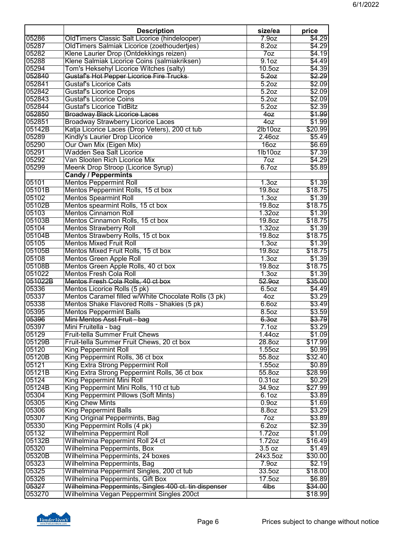|         | <b>Description</b>                                    | size/ea                    | price            |
|---------|-------------------------------------------------------|----------------------------|------------------|
| 05286   | OldTimers Classic Salt Licorice (hindelooper)         | 7.9 <sub>oz</sub>          | \$4.29           |
| 05287   | OldTimers Salmiak Licorice (zoethoudertjes)           | 8.2oz                      | \$4.29           |
| 05282   | Klene Laurier Drop (Ontdekkings reizen)               | 7oz                        | \$4.19           |
| 05288   | Klene Salmiak Licorice Coins (salmiakriksen)          | 9.1 <sub>oz</sub>          | \$4.49           |
| 05294   | Tom's Heksehyl Licorice Witches (salty)               | 10.5 <sub>oz</sub>         | \$4.39           |
| 052840  | Gustaf's Hot Pepper Licorice Fire Trucks              | 5.20z                      | \$2.29           |
| 052841  | <b>Gustaf's Licorice Cats</b>                         | 5.2 <sub>oz</sub>          | \$2.09           |
| 052842  | <b>Gustaf's Licorice Drops</b>                        | 5.2oz                      | \$2.09           |
| 052843  | <b>Gustaf's Licorice Coins</b>                        | 5.2oz                      | \$2.09           |
| 052844  | <b>Gustaf's Licorice TidBitz</b>                      | 5.2oz                      | \$2.39           |
| 052850  | <b>Broadway Black Licorice Laces</b>                  | 4 <sub>0z</sub>            | \$1.99           |
| 052851  | <b>Broadway Strawberry Licorice Laces</b>             | 40Z                        | \$1.99           |
| 05142B  | Katja Licorice Laces (Drop Veters), 200 ct tub        | 2lb10oz                    | \$20.99          |
| 05289   | Kindly's Laurier Drop Licorice                        | 2.46oz                     | \$5.49           |
| 05290   | Our Own Mix (Eigen Mix)                               | 16oz                       | \$6.69           |
| 05291   | <b>Wadden Sea Salt Licorice</b>                       | 1lb10oz                    | \$7.39           |
| 05292   | Van Slooten Rich Licorice Mix                         | 70z                        | \$4.29           |
| 05299   | Meenk Drop Stroop (Licorice Syrup)                    | 6.7 <sub>oz</sub>          | \$5.89           |
|         | <b>Candy / Peppermints</b>                            |                            |                  |
| 05101   | <b>Mentos Peppermint Roll</b>                         | 1.3 <sub>oz</sub>          | \$1.39           |
| 05101B  | Mentos Peppermint Rolls, 15 ct box                    | 19.8oz                     | \$18.75          |
| 05102   | <b>Mentos Spearmint Roll</b>                          | 1.3 <sub>oz</sub>          | \$1.39           |
| 05102B  | Mentos spearmint Rolls, 15 ct box                     | 19.8oz                     | \$18.75          |
| 05103   | <b>Mentos Cinnamon Roll</b>                           | 1.32oz                     | \$1.39           |
| 05103B  | Mentos Cinnamon Rolls, 15 ct box                      | 19.8oz                     | \$18.75          |
| 05104   | <b>Mentos Strawberry Roll</b>                         | 1.32oz                     | \$1.39           |
| 05104B  | Mentos Strawberry Rolls, 15 ct box                    | 19.8oz                     | \$18.75          |
| 05105   | <b>Mentos Mixed Fruit Roll</b>                        | 1.3 <sub>oz</sub>          | \$1.39           |
| 05105B  | Mentos Mixed Fruit Rolls, 15 ct box                   | 19.8oz                     | \$18.75          |
| 05108   | Mentos Green Apple Roll                               | 1.3 <sub>oz</sub>          | \$1.39           |
| 05108B  | Mentos Green Apple Rolls, 40 ct box                   | 19.8oz                     | \$18.75          |
| 051022  | Mentos Fresh Cola Roll                                | 1.3 <sub>oz</sub>          | \$1.39           |
| 051022B | Mentos Fresh Cola Rolls, 40 ct box                    | 52.9 <sub>oz</sub>         | \$35.00          |
| 05336   |                                                       | 6.5oz                      |                  |
| 05337   | Mentos Licorice Rolls (5 pk)                          |                            | \$4.49           |
| 05338   | Mentos Caramel filled w/White Chocolate Rolls (3 pk)  | 40Z                        | \$3.29<br>\$3.49 |
| 05395   | Mentos Shake Flavored Rolls - Shakies (5 pk)          | 6.60Z                      |                  |
| 05396   | <b>Mentos Peppermint Balls</b>                        | 8.5oz<br>6.3 <sub>oz</sub> | \$3.59           |
|         | Mini Mentos Asst Fruit - bag                          |                            | \$3.79           |
| 05397   | Mini Fruitella - bag                                  | 7.10z                      | \$3.29           |
| 05129   | Fruit-tella Summer Fruit Chews                        | 1.44oz                     | \$1.09           |
| 05129B  | Fruit-tella Summer Fruit Chews, 20 ct box             | 28.80Z                     | \$17.99          |
| 05120   | <b>King Peppermint Roll</b>                           | 1.55oz                     | \$0.99           |
| 05120B  | King Peppermint Rolls, 36 ct box                      | 55.8oz                     | \$32.40          |
| 05121   | King Extra Strong Peppermint Roll                     | 1.55oz                     | \$0.89           |
| 05121B  | King Extra Strong Peppermint Rolls, 36 ct box         | 55.8oz                     | \$28.99          |
| 05124   | King Peppermint Mini Roll                             | 0.31 <sub>oz</sub>         | \$0.29           |
| 05124B  | King Peppermint Mini Rolls, 110 ct tub                | 34.9oz                     | \$27.99          |
| 05304   | King Peppermint Pillows (Soft Mints)                  | 6.10z                      | \$3.89           |
| 05305   | <b>King Chew Mints</b>                                | 0.9 <sub>oz</sub>          | \$1.69           |
| 05306   | <b>King Peppermint Balls</b>                          | 8.8oz                      | \$3.29           |
| 05307   | King Original Peppermints, Bag                        | 70z                        | \$3.89           |
| 05330   | King Peppermint Rolls (4 pk)                          | 6.20Z                      | \$2.39           |
| 05132   | <b>Wilhelmina Peppermint Roll</b>                     | $1.72$ oz                  | \$1.09           |
| 05132B  | Wilhelmina Peppermint Roll 24 ct                      | 1.72 <sub>oz</sub>         | \$16.49          |
| 05320   | Wilhelmina Peppermints, Box                           | 3.5 oz                     | \$1.49           |
| 05320B  | Wilhelmina Peppermints, 24 boxes                      | 24x3.5oz                   | \$30.00          |
| 05323   | Wilhelmina Peppermints, Bag                           | 7.9 <sub>oz</sub>          | \$2.19           |
| 05325   | Wilhelmina Peppermint Singles, 200 ct tub             | 33.50z                     | \$18.00          |
| 05326   | Wilhelmina Peppermints, Gift Box                      | 17.5 <sub>oz</sub>         | \$6.89           |
| 05327   | Wilhelmina Peppermints, Singles 400 ct. tin dispenser | $4$ lbs                    | \$34.00          |
| 053270  | Wilhelmina Vegan Peppermint Singles 200ct             |                            | \$18.99          |

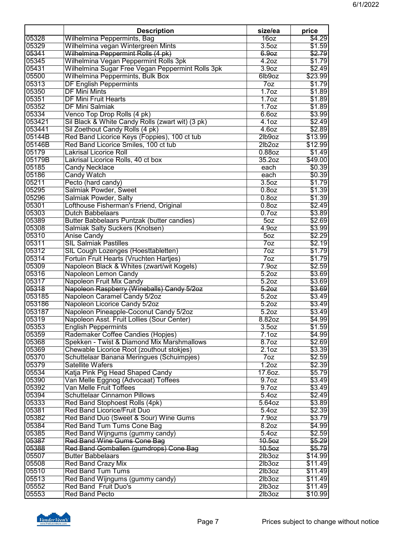|                | <b>Description</b>                                                             | size/ea                              | price            |
|----------------|--------------------------------------------------------------------------------|--------------------------------------|------------------|
| 05328          | Wilhelmina Peppermints, Bag                                                    | 16 <sub>oz</sub>                     | \$4.29           |
| 05329          | Wilhelmina vegan Wintergreen Mints                                             | 3.50Z                                | \$1.59           |
| 05341          | Wilhelmina Peppermint Rolls (4 pk)                                             | 6.9 <sub>oz</sub>                    | \$2.79           |
| 05345          | Wilhelmina Vegan Peppermint Rolls 3pk                                          | 4.20Z                                | \$1.79           |
| 05431          | Wilhelmina Sugar Free Vegan Peppermint Rolls 3pk                               | 3.9 <sub>oz</sub>                    | \$2.49           |
| 05500          | Wilhelmina Peppermints, Bulk Box                                               | 6lb9oz                               | \$23.99          |
| 05313          | <b>DF English Peppermints</b>                                                  | 7oz                                  | \$1.79           |
| 05350          | <b>DF Mini Mints</b>                                                           | 1.7 <sub>oz</sub>                    | \$1.89           |
| 05351          | <b>DF Mini Fruit Hearts</b>                                                    | 1.7 <sub>oz</sub>                    | \$1.89           |
| 05352          | <b>DF Mini Salmiak</b>                                                         | 1.7 <sub>oz</sub>                    | \$1.89           |
| 05334          | Venco Top Drop Rolls (4 pk)                                                    | 6.60Z                                | \$3.99           |
| 053421         | Sil Black & White Candy Rolls (zwart wit) (3 pk)                               | 4.1 <sub>oz</sub>                    | \$2.49           |
| 053441         | Sil Zoethout Candy Rolls (4 pk)                                                | 4.60Z                                | \$2.89           |
| 05144B         | Red Band Licorice Keys (Foppies), 100 ct tub                                   | 2lb9oz                               | \$13.99          |
| 05146B         | Red Band Licorice Smiles, 100 ct tub                                           | 2lb2oz                               | \$12.99          |
| 05179          | <b>Lakrisal Licorice Roll</b>                                                  | $0.88$ oz                            | \$1.49           |
| 05179B         | Lakrisal Licorice Rolls, 40 ct box                                             | 35.20z                               | \$49.00          |
| 05185          | <b>Candy Necklace</b>                                                          | each                                 | \$0.39           |
| 05186          | <b>Candy Watch</b>                                                             | each                                 | \$0.39           |
| 05211          | Pecto (hard candy)                                                             | 3.5oz                                | \$1.79           |
| 05295          | Salmiak Powder, Sweet                                                          | 0.8 <sub>oz</sub>                    | \$1.39           |
| 05296          | Salmiak Powder, Salty                                                          | $0.8$ oz                             | \$1.39           |
| 05301          | Lofthouse Fisherman's Friend, Original                                         | $0.8$ oz                             | \$2.49           |
| 05303          | <b>Dutch Babbelaars</b>                                                        | 0.7 <sub>oz</sub>                    | \$3.89           |
| 05389          | Butter Babbelaars Puntzak (butter candies)                                     | $\overline{50z}$                     | \$2.69           |
| 05308<br>05310 | Salmiak Salty Suckers (Knotsen)                                                | 4.9 <sub>oz</sub><br>50 <sub>Z</sub> | \$3.99<br>\$2.29 |
| 05311          | <b>Anise Candy</b><br><b>SIL Salmiak Pastilles</b>                             | 7 <sub>oz</sub>                      |                  |
| 05312          |                                                                                | 7oz                                  | \$2.19<br>\$1.79 |
| 05314          | SIL Cough Lozenges (Hoesttabletten)<br>Fortuin Fruit Hearts (Vruchten Hartjes) | 7 <sub>oz</sub>                      | \$1.79           |
| 05309          | Napoleon Black & Whites (zwart/wit Kogels)                                     | 7.9 <sub>oz</sub>                    | \$2.59           |
| 05316          | Napoleon Lemon Candy                                                           | 5.2 <sub>oz</sub>                    | \$3.69           |
| 05317          | Napoleon Fruit Mix Candy                                                       | 5.2oz                                | \$3.69           |
| 05318          | Napoleon Raspberry (Wineballs) Candy 5/2oz                                     | 5.20z                                | \$3.69           |
| 053185         | Napoleon Caramel Candy 5/2oz                                                   | 5.2oz                                | \$3.49           |
| 053186         | Napoleon Licorice Candy 5/2oz                                                  | 5.2 <sub>oz</sub>                    | \$3.49           |
| 053187         | Napoleon Pineapple-Coconut Candy 5/2oz                                         | 5.2 <sub>oz</sub>                    | \$3.49           |
| 05319          | Napoleon Asst. Fruit Lollies (Sour Center)                                     | 8.82oz                               | \$4.99           |
| 05353          | <b>English Peppermints</b>                                                     | 3.5 <sub>oz</sub>                    | \$1.59           |
| 05359          | Rademaker Coffee Candies (Hopjes)                                              | 7.1oz                                | \$4.99           |
| 05368          | Spekken - Twist & Diamond Mix Marshmallows                                     | 8.7 <sub>oz</sub>                    | \$2.69           |
| 05369          | Chewable Licorice Root (zouthout stokjes)                                      | 2.1 <sub>oz</sub>                    | \$3.39           |
| 05370          | Schuttelaar Banana Meringues (Schuimpjes)                                      | 70z                                  | \$2.59           |
| 05379          | <b>Satellite Wafers</b>                                                        | 1.20z                                | \$2.39           |
| 05534          | Katja Pink Pig Head Shaped Candy                                               | 17.6oz.                              | \$5.79           |
| 05390          | Van Melle Eggnog (Advocaat) Toffees                                            | 9.7 <sub>oz</sub>                    | \$3.49           |
| 05392          | Van Melle Fruit Toffees                                                        | 9.7 <sub>oz</sub>                    | \$3.49           |
| 05394          | <b>Schuttelaar Cinnamon Pillows</b>                                            | 5.40z                                | \$2.49           |
| 05333          | Red Band Stophoest Rolls (4pk)                                                 | 5.64oz                               | \$3.89           |
| 05381          | <b>Red Band Licorice/Fruit Duo</b>                                             | 5.40z                                | \$2.39           |
| 05382          | Red Band Duo (Sweet & Sour) Wine Gums                                          | 7.9 <sub>oz</sub>                    | \$3.79           |
| 05384          | Red Band Tum Tums Cone Bag                                                     | 8.20Z                                | \$4.99           |
| 05385          | Red Band Wijngums (gummy candy)                                                | 5.40Z                                | \$2.59           |
| 05387          | Red Band Wine Gums Cone Bag                                                    | 10.5oz                               | \$5.29           |
| 05388          | Red Band Gomballen (gumdrops) Cone Bag                                         | 10.5 <sub>oz</sub>                   | \$5.79           |
| 05507          | <b>Butter Babbelaars</b>                                                       | 2lb3oz                               | \$14.99          |
| 05508          | <b>Red Band Crazy Mix</b>                                                      | 2lb3oz                               | \$11.49          |
| 05510          | <b>Red Band Tum Tums</b>                                                       | 2lb3oz                               | \$11.49          |
| 05513          | Red Band Wijngums (gummy candy)                                                | 2lb3oz                               | \$11.49          |
| 05552          | <b>Red Band Fruit Duo's</b>                                                    | 2lb3oz                               | \$11.49          |
| 05553          | <b>Red Band Pecto</b>                                                          | 2lb3oz                               | \$10.99          |

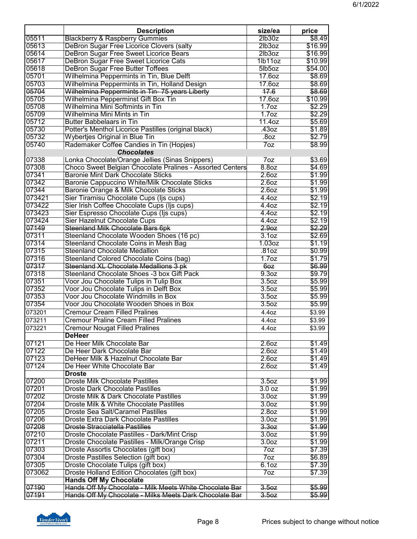|        | <b>Description</b>                                        | size/ea            | price   |
|--------|-----------------------------------------------------------|--------------------|---------|
| 05511  | <b>Blackberry &amp; Raspberry Gummies</b>                 | 2lb30z             | \$8.49  |
| 05613  | DeBron Sugar Free Licorice Clovers (salty                 | 2lb3oz             | \$16.99 |
| 05614  | DeBron Sugar Free Sweet Licorice Bears                    | 2lb3oz             | \$16.99 |
| 05617  | DeBron Sugar Free Sweet Licorice Cats                     | 1lb11oz            | \$10.99 |
| 05618  | <b>DeBron Sugar Free Butter Toffees</b>                   | 5lb5oz             | \$54.00 |
| 05701  | Wilhelmina Peppermints in Tin, Blue Delft                 | 17.60z             | \$8.69  |
| 05703  | Wilhelmina Peppermints in Tin, Holland Design             | 17.6oz             | \$8.69  |
| 05704  | Wilhelmina Peppermints in Tin-75 years Liberty            | 17.6               | \$8.69  |
| 05705  | Wilhelmina Pepperminst Gift Box Tin                       | 17.60z             | \$10.99 |
| 05708  | Wilhelmina Mini Softmints in Tin                          | 1.7 <sub>oz</sub>  | \$2.29  |
| 05709  | Wilhelmina Mini Mints in Tin                              | 1.7 <sub>oz</sub>  | \$2.29  |
| 05712  | <b>Butter Babbelaars in Tin</b>                           | 11.40z             | \$5.69  |
| 05730  | Potter's Menthol Licorice Pastilles (original black)      | .43oz              | \$1.89  |
| 05732  | <b>Wybertjes Original in Blue Tin</b>                     | .80Z               | \$2.79  |
| 05740  | Rademaker Coffee Candies in Tin (Hopjes)                  | 7 <sub>oz</sub>    | \$8.99  |
|        | <b>Chocolates</b>                                         |                    |         |
| 07338  | Lonka Chocolate/Orange Jellies (Sinas Snippers)           | 7oz                | \$3.69  |
| 07308  | Choco Sweet Belgian Chocolate Pralines - Assorted Centers | 8.8oz              | \$4.69  |
| 07341  | <b>Baronie Mint Dark Chocolate Sticks</b>                 | 2.60z              | \$1.99  |
| 07342  | Baronie Cappuccino White/Milk Chocolate Sticks            | 2.60z              | \$1.99  |
| 07344  | Baronie Orange & Milk Chocolate Sticks                    | 2.60Z              | \$1.99  |
| 073421 | Sier Tiramisu Chocolate Cups (Ijs cups)                   | 4.40z              | \$2.19  |
| 073422 | Sier Irish Coffee Chocolate Cups (Ijs cups)               | 4.40z              | \$2.19  |
| 073423 | Sier Espresso Chocolate Cups (Ijs cups)                   | 4.40z              | \$2.19  |
| 073424 | Sier Hazelnut Chocolate Cups                              | 4.40Z              | \$2.19  |
| 07149  | Steenland Milk Chocolate Bars 6pk                         | 2.9 <sub>oz</sub>  | \$2.29  |
| 07311  | Steenland Chocolate Wooden Shoes (16 pc)                  | 3.10z              | \$2.69  |
| 07314  | Steenland Chocolate Coins in Mesh Bag                     | 1.03 <sub>oz</sub> | \$1.19  |
| 07315  | <b>Steenland Chocolate Medallion</b>                      | .81oz              | \$0.99  |
| 07316  | Steenland Colored Chocolate Coins (bag)                   | 1.7 <sub>oz</sub>  | \$1.79  |
| 07317  | Steenland XL Chocolate Medallions 3 pk                    | 60Z                | \$6.99  |
| 07318  | Steenland Chocolate Shoes -3 box Gift Pack                | 9.3 <sub>oz</sub>  | \$9.79  |
| 07351  | Voor Jou Chocolate Tulips in Tulip Box                    | 3.5 <sub>oz</sub>  | \$5.99  |
| 07352  | Voor Jou Chocolate Tulips in Delft Box                    | 3.5 <sub>oz</sub>  | \$5.99  |
| 07353  | Voor Jou Chocolate Windmills in Box                       | 3.5 <sub>oz</sub>  | \$5.99  |
| 07354  | Voor Jou Chocolate Wooden Shoes in Box                    | 3.5 <sub>oz</sub>  | \$5.99  |
| 073201 | <b>Cremour Cream Filled Pralines</b>                      | 4.4oz              | \$3.99  |
| 073211 | <b>Cremour Praline Cream Filled Pralines</b>              | 4.4oz              | \$3.99  |
| 073221 | <b>Cremour Nougat Filled Pralines</b>                     | 4.4oz              | \$3.99  |
|        | <b>DeHeer</b>                                             |                    |         |
| 07121  | De Heer Milk Chocolate Bar                                | 2.60Z              | \$1.49  |
| 07122  | De Heer Dark Chocolate Bar                                | 2.60z              | \$1.49  |
| 07123  | DeHeer Milk & Hazelnut Chocolate Bar                      | 2.60z              | \$1.49  |
| 07124  | De Heer White Chocolate Bar                               | 2.60z              | \$1.49  |
|        | <b>Droste</b>                                             |                    |         |
| 07200  | <b>Droste Milk Chocolate Pastilles</b>                    | 3.5 <sub>oz</sub>  | \$1.99  |
| 07201  | <b>Droste Dark Chocolate Pastilles</b>                    | 3.0 oz             | \$1.99  |
| 07202  | Droste Milk & Dark Chocolate Pastilles                    | 3.0 <sub>oz</sub>  | \$1.99  |
| 07204  | Droste Milk & White Chocolate Pastilles                   | 3.0 <sub>oz</sub>  | \$1.99  |
| 07205  | <b>Droste Sea Salt/Caramel Pastilles</b>                  | 2.8 <sub>oz</sub>  | \$1.99  |
| 07206  | <b>Droste Extra Dark Chocolate Pastilles</b>              | 3.00Z              | \$1.99  |
| 07208  | <b>Droste Stracciatella Pastilles</b>                     | 3.30z              | \$1.99  |
| 07210  | Droste Chocolate Pastilles - Dark/Mint Crisp              | 3.0 <sub>oz</sub>  | \$1.99  |
| 07211  | Droste Chocolate Pastilles - Milk/Orange Crisp            | 3.0 <sub>oz</sub>  | \$1.99  |
| 07303  | Droste Assortis Chocolates (gift box)                     | 70z                | \$7.39  |
| 07304  | Droste Pastilles Selection (gift box)                     | 7 <sub>oz</sub>    | \$6.89  |
| 07305  | Droste Chocolate Tulips (gift box)                        | 6.10z              | \$7.39  |
| 073062 | Droste Holland Edition Chocolates (gift box)              | 7 <sub>oz</sub>    | \$7.39  |
|        | <b>Hands Off My Chocolate</b>                             |                    |         |
| 07190  | Hands Off My Chocolate - Milk Meets White Chocolate Bar   | 3.50z              | \$5.99  |
| 07191  | Hands Off My Chocolate - Milks Meets Dark Chocolate Bar   | 3.50z              | \$5.99  |
|        |                                                           |                    |         |

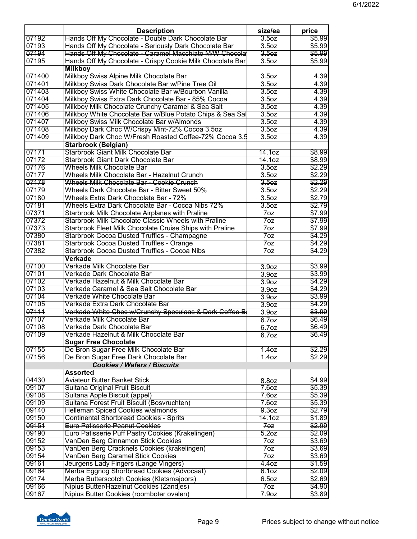|        | <b>Description</b>                                        | size/ea           | price  |
|--------|-----------------------------------------------------------|-------------------|--------|
| 07192  | Hands Off My Chocolate - Double Dark Chocolate Bar        | 3.50z             | \$5.99 |
| 07193  | Hands Off My Chocolate - Seriously Dark Chocolate Bar     | 3.50z             | \$5.99 |
| 07194  | Hands Off My Chocolate - Caramel Macchiato M/W Chocola    | 3.50z             | \$5.99 |
| 07195  | Hands Off My Chocolate - Crispy Cookie Milk Chocolate Bar | 3.50z             | \$5.99 |
|        | <b>Milkboy</b>                                            |                   |        |
| 071400 | Milkboy Swiss Alpine Milk Chocolate Bar                   | 3.5 <sub>oz</sub> | 4.39   |
| 071401 | Milkboy Swiss Dark Chocolate Bar w/Pine Tree Oil          | 3.5oz             | 4.39   |
| 071403 | Milkboy Swiss White Chocolate Bar w/Bourbon Vanilla       | 3.5 <sub>oz</sub> | 4.39   |
| 071404 | Milkboy Swiss Extra Dark Chocolate Bar - 85% Cocoa        | 3.5 <sub>oz</sub> | 4.39   |
| 071405 | Milkboy Milk Chocolate Crunchy Caramel & Sea Salt         | 3.5oz             | 4.39   |
| 071406 | Milkboy White Chocolate Bar w/Blue Potato Chips & Sea Sal | 3.5oz             | 4.39   |
| 071407 | Milkboy Swiss Milk Chocolate Bar w/Almonds                | 3.5 <sub>oz</sub> | 4.39   |
| 071408 | Milkboy Dark Choc W/Crispy Mint-72% Cocoa 3.5oz           | 3.5oz             | 4.39   |
| 071409 | Milkboy Dark Choc W/Fresh Roasted Coffee-72% Cocoa 3.5    | 3.5oz             | 4.39   |
|        | <b>Starbrook (Belgian)</b>                                |                   |        |
| 07171  | <b>Starbrook Giant Milk Chocolate Bar</b>                 | 14.10z            | \$8.99 |
| 07172  | Starbrook Giant Dark Chocolate Bar                        | 14.10z            | \$8.99 |
| 07176  | <b>Wheels Milk Chocolate Bar</b>                          | 3.5oz             | \$2.29 |
| 07177  | <b>Wheels Milk Chocolate Bar - Hazelnut Crunch</b>        | 3.5 <sub>oz</sub> | \$2.29 |
| 07178  | Wheels Milk Chocolate Bar - Cookie Crunch                 | 3.50z             | \$2.29 |
| 07179  | Wheels Dark Chocolate Bar - Bitter Sweet 50%              | 3.5 <sub>oz</sub> | \$2.29 |
| 07180  | <b>Wheels Extra Dark Chocolate Bar - 72%</b>              | 3.5 <sub>oz</sub> | \$2.79 |
| 07181  | Wheels Extra Dark Chocolate Bar - Cocoa Nibs 72%          | 3.5 <sub>oz</sub> | \$2.79 |
| 07371  | Starbrook Milk Chocolate Airplanes with Praline           | 7oz               | \$7.99 |
| 07372  | Starbrook Milk Chocolate Classic Wheels with Praline      | 70z               | \$7.99 |
| 07373  | Starbrook Fleet Milk Chocolate Cruise Ships with Praline  | 7oz               | \$7.99 |
| 07380  | Starbrook Cocoa Dusted Truffles - Champagne               | 7oz               | \$4.29 |
| 07381  | <b>Starbrook Cocoa Dusted Truffles - Orange</b>           | 7oz               | \$4.29 |
| 07382  | <b>Starbrook Cocoa Dusted Truffles - Cocoa Nibs</b>       | 7 <sub>oz</sub>   | \$4.29 |
|        | <b>Verkade</b>                                            |                   |        |
| 07100  | Verkade Milk Chocolate Bar                                | 3.9 <sub>oz</sub> | \$3.99 |
| 07101  | Verkade Dark Chocolate Bar                                | 3.9 <sub>oz</sub> | \$3.99 |
| 07102  | Verkade Hazelnut & Milk Chocolate Bar                     | 3.9 <sub>oz</sub> | \$4.29 |
| 07103  | Verkade Caramel & Sea Salt Chocolate Bar                  | 3.9 <sub>oz</sub> | \$4.29 |
| 07104  | Verkade White Chocolate Bar                               | 3.9 <sub>oz</sub> | \$3.99 |
| 07105  | Verkade Extra Dark Chocolate Bar                          | 3.9 <sub>oz</sub> | \$4.29 |
| 07111  | Verkade White Choc w/Crunchy Speculaas & Dark Coffee B    | 3.9 <sub>0</sub>  | \$3.99 |
| 07107  | Verkade Milk Chocolate Bar                                | 6.7oz             | \$6.49 |
| 07108  | Verkade Dark Chocolate Bar                                | 6.7oz             | \$6.49 |
| 07109  | Verkade Hazelnut & Milk Chocolate Bar                     | 6.7oz             | \$6.49 |
|        | <b>Sugar Free Chocolate</b>                               |                   |        |
| 07155  | De Bron Sugar Free Milk Chocolate Bar                     | 1.4 <sub>oz</sub> | \$2.29 |
| 07156  | De Bron Sugar Free Dark Chocolate Bar                     | 1.40z             | \$2.29 |
|        | <b>Cookies / Wafers / Biscuits</b>                        |                   |        |
|        | <b>Assorted</b>                                           |                   |        |
| 04430  | <b>Aviateur Butter Banket Stick</b>                       | 8.8oz             | \$4.99 |
| 09107  | Sultana Original Fruit Biscuit                            | 7.60z             | \$5.39 |
| 09108  | Sultana Apple Biscuit (appel)                             | 7.60z             | \$5.39 |
| 09109  | Sultana Forest Fruit Biscuit (Bosvruchten)                | 7.60z             | \$5.39 |
| 09140  | Helleman Spiced Cookies w/almonds                         | 9.3 <sub>oz</sub> | \$2.79 |
| 09150  | <b>Continental Shortbread Cookies - Sprits</b>            | 14.10z            | \$1.89 |
| 09151  | Euro Patisserie Peanut Cookies                            | 70z               | \$2.99 |
| 09190  | Euro Patisserie Puff Pastry Cookies (Krakelingen)         | 5.2 <sub>oz</sub> | \$2.09 |
| 09152  | VanDen Berg Cinnamon Stick Cookies                        | 7oz               | \$3.69 |
| 09153  | VanDen Berg Cracknels Cookies (krakelingen)               | 70z               | \$3.69 |
| 09154  | VanDen Berg Caramel Stick Cookies                         | 7 <sub>oz</sub>   | \$3.69 |
| 09161  | Jeurgens Lady Fingers (Lange Vingers)                     | 4.40Z             | \$1.59 |
| 09164  | Merba Eggnog Shortbread Cookies (Advocaat)                | 6.10z             | \$2.09 |
| 09174  | Merba Butterscotch Cookies (Kletsmajoors)                 | 6.5oz             | \$2.69 |
| 09166  | Nipius Butter/Hazelnut Cookies (Zandjes)                  | 7 <sub>oz</sub>   | \$4.90 |
| 09167  | Nipius Butter Cookies (roomboter ovalen)                  | 7.9 <sub>oz</sub> | \$3.89 |

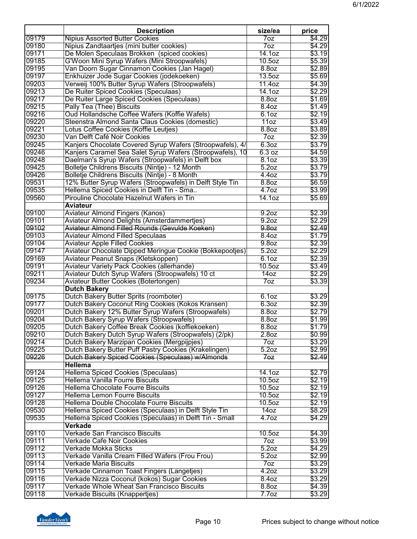|                | <b>Description</b>                                                                                    | size/ea            | price            |
|----------------|-------------------------------------------------------------------------------------------------------|--------------------|------------------|
| 09179          | <b>Nipius Assorted Butter Cookies</b>                                                                 | 70z                | \$4.29           |
| 09180          | Nipius Zandtaartjes (mini butter cookies)                                                             | 70z                | \$4.29           |
| 09171          | De Molen Speculaas Brokken (spiced cookies)                                                           | 14.1oz             | \$3.19           |
| 09185          | G'Woon Mini Syrup Wafers (Mini Stroopwafels)                                                          | 10.5 <sub>oz</sub> | \$5.39           |
| 09195          | Van Doorn Sugar Cinnamon Cookies (Jan Hagel)                                                          | 8.8oz              | \$2.89           |
| 09197          | Enkhuizer Jode Sugar Cookies (jodekoeken)                                                             | 13.50z             | \$5.69           |
| 09203          | Verweij 100% Butter Syrup Wafers (Stroopwafels)                                                       | 11.40z             | \$4.39           |
| 09213          | De Ruiter Spiced Cookies (Speculaas)                                                                  | 14.10z             | \$2.29           |
| 09217          | De Ruiter Large Spiced Cookies (Speculaas)                                                            | 8.8 <sub>oz</sub>  | \$1.69           |
| 09215          | Pally Tea (Thee) Biscuits                                                                             | 8.40z              | \$1.49           |
| 09216          | Oud Hollandsche Coffee Wafers (Koffie Wafels)                                                         | 6.1 <sub>oz</sub>  | \$2.19           |
| 09220          | Steenstra Almond Santa Claus Cookies (domestic)                                                       | 11oz               | \$3.49           |
| 09221          | Lotus Coffee Cookies (Koffie Leutjes)                                                                 | 8.8 <sub>oz</sub>  | \$3.89           |
| 09230<br>09245 | Van Delft Café Noir Cookies                                                                           | 7 <sub>oz</sub>    | \$2.39           |
| 09246          | Kanjers Chocolate Covered Syrup Wafers (Stroopwafels), 4/                                             | 6.3oz              | \$3.79<br>\$4.59 |
| 09248          | Kanjers Caramel Sea Salet Syrup Wafers (Stroopwafels), 10                                             | 6.3 oz             | \$3.39           |
| 09425          | Daelman's Syrup Wafers (Stroopwafels) in Delft box<br>Bolletje Childrens Biscuits (Nintje) - 12 Month | 8.10z<br>5.2oz     | \$3.79           |
| 09426          | Bolletje Childrens Biscuits (Nintje) - 8 Month                                                        | 4.40Z              | \$3.79           |
| 09531          | 12% Butter Syrup Wafers (Stroopwafels) in Delft Style Tin                                             | 8.8oz              | \$6.59           |
| 09535          | Hellema Spiced Cookies in Delft Tin - Sma                                                             | 4.7 <sub>oz</sub>  | \$3.99           |
| 09560          | Pirouline Chocolate Hazelnut Wafers in Tin                                                            | 14.1oz             | \$5.69           |
|                | <b>Aviateur</b>                                                                                       |                    |                  |
| 09100          | <b>Aviateur Almond Fingers (Kanos)</b>                                                                | 9.2 <sub>oz</sub>  | \$2.39           |
| 09101          | Aviateur Almond Delights (Amsterdammertjes)                                                           | 9.2 <sub>oz</sub>  | \$2.29           |
| 09102          | Aviateur Almond Filled Rounds (Gevulde Koeken)                                                        | 9.8 <sub>oz</sub>  | \$2.49           |
| 09103          | <b>Aviateur Almond Filled Speculaas</b>                                                               | 8.40z              | \$1.79           |
| 09104          | <b>Aviateur Apple Filled Cookies</b>                                                                  | 9.8 <sub>oz</sub>  | \$2.39           |
| 09147          | Aviateur Chocolate Dipped Meringue Cookie (Bokkepootjes)                                              | 5.2oz              | \$2.29           |
| 09169          | Aviateur Peanut Snaps (Kletskoppen)                                                                   | 6.10z              | \$2.39           |
| 09191          | <b>Aviateur Variety Pack Cookies (allerhande)</b>                                                     | $10.5$ oz          | \$3.49           |
| 09211          | Aviateur Dutch Syrup Wafers (Stroopwafels) 10 ct                                                      | 14 <sub>oz</sub>   | \$2.29           |
| 09234          | Aviateur Butter Cookies (Botertongen)                                                                 | 7oz                | \$3.39           |
|                | <b>Dutch Bakery</b>                                                                                   |                    |                  |
| 09175          | Dutch Bakery Butter Sprits (roomboter)                                                                | 6.1 <sub>oz</sub>  | \$3.29           |
| 09177          | Dutch Bakery Coconut Ring Cookies (Kokos Kransen)                                                     | 6.3oz              | \$2.39           |
| 09201          | Dutch Bakery 12% Butter Syrup Wafers (Stroopwafels)                                                   | 8.8 <sub>oz</sub>  | \$2.79           |
| 09204          | Dutch Bakery Syrup Wafers (Stroopwafels)                                                              | 8.8 <sub>oz</sub>  | \$1.99           |
| 09205          | Dutch Bakery Coffee Break Cookies (koffiekoeken)                                                      | 8.8oz              | \$1.79           |
| 09210          | Dutch Bakery Dutch Syrup Wafers (Stroopwafels) (2/pk)                                                 | 2.8 <sub>oz</sub>  | \$0.99           |
| 09214          | Dutch Bakery Marzipan Cookies (Mergpijpjes)                                                           | 70z                | \$3.29           |
| 09225          | Dutch Bakery Butter Puff Pastry Cookies (Krakelingen)                                                 | 5.2oz              | \$2.99           |
| 09226          | Dutch Bakery Spiced Cookies (Speculaas) w/Almonds                                                     | 70z                | \$2.49           |
|                | <b>Hellema</b>                                                                                        |                    |                  |
| 09124          | Hellema Spiced Cookies (Speculaas)                                                                    | 14.1oz             | \$2.79           |
| 09125          | Hellema Vanilla Fourre Biscuits                                                                       | 10.5 <sub>oz</sub> | \$2.19           |
| 09126          | <b>Hellema Chocolate Fourre Biscuits</b>                                                              | 10.5 <sub>oz</sub> | \$2.19           |
| 09127          | <b>Hellema Lemon Fourre Biscuits</b>                                                                  | 10.5 <sub>oz</sub> | \$2.19           |
| 09128          | Hellema Double Chocolate Fourre Biscuits                                                              | 10.5 <sub>oz</sub> | \$2.19           |
| 09530          | Hellema Spiced Cookies (Speculaas) in Delft Style Tin                                                 | 140z               | \$8.29           |
| 09535          | Hellema Spiced Cookies (Speculaas) in Delft Tin - Small<br>Verkade                                    | 4.7 <sub>oz</sub>  | \$4.29           |
| 09110          | <b>Verkade San Francisco Biscuits</b>                                                                 | 10.5oz             | \$4.39           |
| 09111          | <b>Verkade Cafe Noir Cookies</b>                                                                      | 70z                | \$3.99           |
| 09112          | Verkade Mokka Sticks                                                                                  | 5.2oz              | \$4.29           |
| 09113          | Verkade Vanilla Cream Filled Wafers (Frou Frou)                                                       | 5.20Z              | \$2.99           |
| 09114          | <b>Verkade Maria Biscuits</b>                                                                         | 7 <sub>oz</sub>    | \$3.29           |
| 09115          | Verkade Cinnamon Toast Fingers (Langetjes)                                                            | 4.2 <sub>oz</sub>  | \$3.29           |
| 09116          | Verkade Nizza Coconut (kokos) Sugar Cookies                                                           | 8.40z              | \$3.29           |
| 09117          | Verkade Whole Wheat San Francisco Biscuits                                                            | 8.8 <sub>oz</sub>  | \$4.39           |
| 09118          | Verkade Biscuits (Knappertjes)                                                                        | 7.7 <sub>oz</sub>  | \$3.29           |
|                |                                                                                                       |                    |                  |

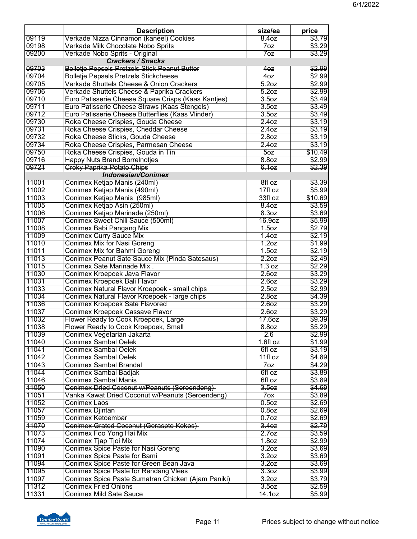|                | <b>Description</b>                                                             | size/ea                    | price            |
|----------------|--------------------------------------------------------------------------------|----------------------------|------------------|
| 09119          | Verkade Nizza Cinnamon (kaneel) Cookies                                        | 8.40z                      | \$3.79           |
| 09198          | Verkade Milk Chocolate Nobo Sprits                                             | 70z                        | \$3.29           |
| 09200          | Verkade Nobo Sprits - Original                                                 | 7oz                        | \$3.29           |
|                | <b>Crackers / Snacks</b>                                                       |                            |                  |
| 09703          | <b>Bolletje Pepsels Pretzels Stick Peanut Butter</b>                           | 40z                        | \$2.99           |
| 09704          | <b>Bolletje Pepsels Pretzels Stickcheese</b>                                   | 40z                        | \$2.99           |
| 09705          | Verkade Shuttels Cheese & Onion Crackers                                       | 5.2 <sub>oz</sub>          | \$2.99           |
| 09706          | Verkade Shuttels Cheese & Paprika Crackers                                     | 5.2 <sub>oz</sub>          | \$2.99           |
| 09710          | Euro Patisserie Cheese Square Crisps (Kaas Kantjes)                            | 3.5 <sub>oz</sub>          | \$3.49           |
| 09711          | Euro Patisserie Cheese Straws (Kaas Stengels)                                  | 3.5 <sub>oz</sub>          | \$3.49           |
| 09712          | Euro Patisserie Cheese Butterflies (Kaas Vlinder)                              | 3.5 <sub>oz</sub>          | \$3.49           |
| 09730          | Roka Cheese Crispies, Gouda Cheese                                             | 2.40z                      | \$3.19           |
| 09731          | Roka Cheese Crispies, Cheddar Cheese                                           | 2.40z                      | \$3.19           |
| 09732          | Roka Cheese Sticks, Gouda Cheese                                               | 2.8 <sub>oz</sub>          | \$3.19           |
| 09734          | Roka Cheese Crispies, Parmesan Cheese                                          | 2.40z                      | \$3.19           |
| 09750          | Roka Cheese Crispies, Gouda in Tin                                             | 50z                        | \$10.49          |
| 09716          | <b>Happy Nuts Brand Borrelnotjes</b>                                           | 8.8 <sub>oz</sub>          | \$2.99           |
| 09721          | <b>Croky Paprika Potato Chips</b>                                              | 6.10z                      | \$2.39           |
|                | <b>Indonesian/Conimex</b>                                                      |                            |                  |
| 11001          | Conimex Ketjap Manis (240ml)                                                   | 8fl oz                     | \$3.39           |
| 11002          | Conimex Ketjap Manis (490ml)                                                   | 17fl oz                    | \$5.99           |
| 11003          | Conimex Ketjap Manis (985ml)                                                   | 33fl oz                    | \$10.69          |
| 11005          | Conimex Ketjap Asin (250ml)                                                    | 8.40z                      | \$3.59           |
| 11006          | Conimex Ketjap Marinade (250ml)                                                | 8.3 <sub>oz</sub>          | \$3.69           |
| 11007<br>11008 | Conimex Sweet Chili Sauce (500ml)                                              | 16.9oz                     | \$5.99           |
| 11009          | Conimex Babi Pangang Mix                                                       | 1.5 <sub>oz</sub>          | \$2.79<br>\$2.19 |
|                | <b>Conimex Curry Sauce Mix</b>                                                 | 1.40z<br>1.2 <sub>oz</sub> |                  |
| 11010<br>11011 | <b>Conimex Mix for Nasi Goreng</b>                                             |                            | \$1.99           |
| 11013          | Conimex Mix for Bahmi Goreng<br>Conimex Peanut Sate Sauce Mix (Pinda Satesaus) | 1.5oz<br>2.2 <sub>oz</sub> | \$2.19<br>\$2.49 |
| 11015          | Conimex Sate Marinade Mix.                                                     | 1.3 oz                     | \$2.29           |
| 11030          | Conimex Kroepoek Java Flavor                                                   | 2.60z                      | \$3.29           |
| 11031          | Conimex Kroepoek Bali Flavor                                                   | 2.60z                      | \$3.29           |
| 11033          | Conimex Natural Flavor Kroepoek - small chips                                  | 2.5oz                      | \$2.99           |
| 11034          | Conimex Natural Flavor Kroepoek - large chips                                  | 2.8 <sub>oz</sub>          | \$4.39           |
| 11036          | Conimex Kroepoek Sate Flavored                                                 | 2.60Z                      | \$3.29           |
| 11037          | Conimex Kroepoek Cassave Flavor                                                | 2.60z                      | \$3.29           |
| 11032          | Flower Ready to Cook Kroepoek, Large                                           | 17.60z                     | \$9.39           |
| 11038          | Flower Ready to Cook Kroepoek, Small                                           | 8.8 <sub>oz</sub>          | \$5.29           |
| 11039          | Conimex Vegetarian Jakarta                                                     | 2.6                        | \$2.99           |
| 11040          | <b>Conimex Sambal Oelek</b>                                                    | $1.6f1$ oz                 | \$1.99           |
| 11041          | <b>Conimex Sambal Oelek</b>                                                    | 6fl oz                     | \$3.19           |
| 11042          | <b>Conimex Sambal Oelek</b>                                                    | $11f1$ oz                  | \$4.89           |
| 11043          | <b>Conimex Sambal Brandal</b>                                                  | 70z                        | \$4.29           |
| 11044          | Conimex Sambal Badjak                                                          | 6fl oz                     | \$3.89           |
| 11046          | <b>Conimex Sambal Manis</b>                                                    | 6fl oz                     | \$3.89           |
| 11050          | Conimex Dried Coconut w/Peanuts (Seroendeng)                                   | 3.50z                      | \$4.69           |
| 11051          | Vanka Kawat Dried Coconut w/Peanuts (Seroendeng)                               | 7 <sub>ox</sub>            | \$3.89           |
| 11052          | <b>Conimex Laos</b>                                                            | 0.5 <sub>oz</sub>          | \$2.69           |
| 11057          | Conimex Djintan                                                                | $0.8$ oz                   | \$2.69           |
| 11059          | Conimex Ketoembar                                                              | $0.7$ oz                   | \$2.69           |
| 11070          | Conimex Grated Coconut (Geraspte Kokos)                                        | 3.40z                      | \$2.79           |
| 11073          | Conimex Foo Yong Hai Mix                                                       | 2.7 <sub>oz</sub>          | \$3.59           |
| 11074          | Conimex Tjap Tjoi Mix                                                          | 1.8 <sub>oz</sub>          | \$2.99           |
| 11090          | Conimex Spice Paste for Nasi Goreng                                            | 3.2 <sub>oz</sub>          | \$3.69           |
| 11091          | Conimex Spice Paste for Bami                                                   | 3.20Z                      | \$3.69           |
| 11094          | Conimex Spice Paste for Green Bean Java                                        | 3.20Z                      | \$3.69           |
| 11095          | <b>Conimex Spice Paste for Rendang Vlees</b>                                   | 3.3 <sub>oz</sub>          | \$3.99           |
| 11097          | Conimex Spice Paste Sumatran Chicken (Ajam Paniki)                             | 3.20z                      | \$3.79           |
| 11312          | <b>Conimex Fried Onions</b>                                                    | 3.5oz                      | \$2.59           |
| 11331          | <b>Conimex Mild Sate Sauce</b>                                                 | 14.10z                     | \$5.99           |

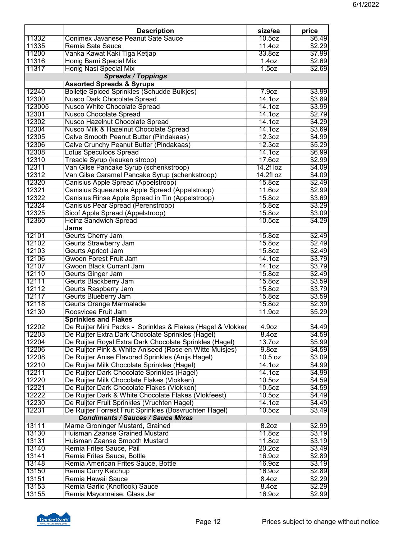|        | <b>Description</b>                                          | size/ea            | price  |
|--------|-------------------------------------------------------------|--------------------|--------|
| 11332  | Conimex Javanese Peanut Sate Sauce                          | 10.5 <sub>oz</sub> | \$6.49 |
| 11335  | Remia Sate Sauce                                            | 11.4oz             | \$2.29 |
| 11200  | Vanka Kawat Kaki Tiga Ketjap                                | 33.8oz             | \$7.99 |
| 11316  | <b>Honig Bami Special Mix</b>                               | 1.40z              | \$2.69 |
| 11317  | Honig Nasi Special Mix                                      | 1.5 <sub>oz</sub>  | \$2.69 |
|        | <b>Spreads / Toppings</b>                                   |                    |        |
|        | <b>Assorted Spreads &amp; Syrups</b>                        |                    |        |
| 12240  | <b>Bolletje Spiced Sprinkles (Schudde Buikjes)</b>          | 7.9 <sub>oz</sub>  | \$3.99 |
| 12300  | <b>Nusco Dark Chocolate Spread</b>                          | 14.10z             | \$3.89 |
| 123005 | <b>Nusco White Chocolate Spread</b>                         | 14.1oz             | \$3.99 |
| 12301  | Nusco Chocolate Spread                                      | 14.1 <sub>oz</sub> | \$2.79 |
| 12302  | Nusco Hazelnut Chocolate Spread                             | 14.1oz             | \$4.29 |
| 12304  | Nusco Milk & Hazelnut Chocolate Spread                      | 14.1 <sub>oz</sub> | \$3.69 |
| 12305  | Calve Smooth Peanut Butter (Pindakaas)                      | 12.3 <sub>oz</sub> | \$4.99 |
| 12306  | Calve Crunchy Peanut Butter (Pindakaas)                     | 12.3 <sub>oz</sub> | \$5.29 |
| 12308  | <b>Lotus Speculoos Spread</b>                               | 14.10z             | \$6.99 |
| 12310  | Treacle Syrup (keuken stroop)                               | 17.60Z             | \$2.99 |
| 12311  | Van Gilse Pancake Syrup (schenkstroop)                      | $14.2f$ loz        | \$4.09 |
| 12312  | Van Gilse Caramel Pancake Syrup (schenkstroop)              | $14.2f$ l oz       | \$4.09 |
| 12320  |                                                             |                    |        |
|        | Canisius Apple Spread (Appelstroop)                         | 15.8oz             | \$2.49 |
| 12321  | Canisius Squeezable Apple Spread (Appelstroop)              | 11.60Z             | \$2.99 |
| 12322  | Canisius Rinse Apple Spread in Tin (Appelstroop)            | 15.8oz             | \$3.69 |
| 12324  | Canisius Pear Spread (Perenstroop)                          | 15.8oz             | \$3.29 |
| 12325  | Sicof Apple Spread (Appelstroop)                            | 15.8oz             | \$3.09 |
| 12360  | <b>Heinz Sandwich Spread</b>                                | 10.5 <sub>oz</sub> | \$4.29 |
|        | Jams                                                        |                    |        |
| 12101  | Geurts Cherry Jam                                           | 15.8oz             | \$2.49 |
| 12102  | <b>Geurts Strawberry Jam</b>                                | 15.8oz             | \$2.49 |
| 12103  | Geurts Apricot Jam                                          | 15.8oz             | \$2.49 |
| 12106  | Gwoon Forest Fruit Jam                                      | 14.10z             | \$3.79 |
| 12107  | <b>Gwoon Black Currant Jam</b>                              | 14.1 <sub>oz</sub> | \$3.79 |
| 12110  | Geurts Ginger Jam                                           | 15.8oz             | \$2.49 |
| 12111  | Geurts Blackberry Jam                                       | 15.8oz             | \$3.59 |
| 12112  | Geurts Raspberry Jam                                        | 15.8oz             | \$3.79 |
| 12117  | Geurts Blueberry Jam                                        | 15.8oz             | \$3.59 |
| 12118  | <b>Geurts Orange Marmalade</b>                              | 15.8oz             | \$2.39 |
| 12130  | Roosvicee Fruit Jam                                         | 11.9oz             | \$5.29 |
|        | <b>Sprinkles and Flakes</b>                                 |                    |        |
| 12202  | De Ruijter Mini Packs - Sprinkles & Flakes (Hagel & Vlokker | 4.9 <sub>oz</sub>  | \$4.49 |
| 12203  | De Ruijter Extra Dark Chocolate Sprinkles (Hagel)           | 8.4oz              | \$4.59 |
| 12204  | De Ruijter Royal Extra Dark Chocolate Sprinkles (Hagel)     | 13.7 <sub>oz</sub> | \$5.99 |
| 12206  | De Ruijter Pink & White Aniseed (Rose en Witte Muisjes)     | 9.8oz              | \$4.59 |
| 12208  | De Ruijter Anise Flavored Sprinkles (Anijs Hagel)           | 10.5 oz            | \$3.09 |
| 12210  | De Ruijter Milk Chocolate Sprinkles (Hagel)                 | 14.1oz             | \$4.99 |
| 12211  | De Ruijter Dark Chocolate Sprinkles (Hagel)                 | 14.10z             | \$4.99 |
| 12220  | De Ruijter Milk Chocolate Flakes (Vlokken)                  | 10.5 <sub>oz</sub> | \$4.59 |
| 12221  | De Ruijter Dark Chocolate Flakes (Vlokken)                  | 10.5 <sub>oz</sub> | \$4.59 |
| 12222  | De Ruijter Dark & White Chocolate Flakes (Vlokfeest)        | 10.5 <sub>oz</sub> | \$4.49 |
| 12230  | De Ruijter Fruit Sprinkles (Vruchten Hagel)                 | 14.1 <sub>oz</sub> | \$4.49 |
| 12231  | De Ruijter Forrest Fruit Sprinkles (Bosvruchten Hagel)      | 10.5 <sub>oz</sub> | \$3.49 |
|        | <b>Condiments / Sauces / Sauce Mixes</b>                    |                    |        |
| 13111  | Marne Groninger Mustard, Grained                            | 8.2oz              | \$2.99 |
| 13130  | Huisman Zaanse Grained Mustard                              | 11.8 <sub>oz</sub> | \$3.19 |
| 13131  | Huisman Zaanse Smooth Mustard                               | 11.8oz             | \$3.19 |
| 13140  | Remia Frites Sauce, Pail                                    | 20.20z             | \$3.49 |
| 13141  | Remia Frites Sauce, Bottle                                  | 16.9oz             | \$2.89 |
| 13148  | Remia American Frites Sauce, Bottle                         | 16.9oz             | \$3.19 |
| 13150  | Remia Curry Ketchup                                         | 16.9oz             | \$2.89 |
| 13151  | Remia Hawaii Sauce                                          | 8.4oz              | \$2.29 |
| 13153  | Remia Garlic (Knoflook) Sauce                               | 8.4oz              | \$2.29 |
|        |                                                             |                    |        |
| 13155  | Remia Mayonnaise, Glass Jar                                 | 16.9oz             | \$2.99 |

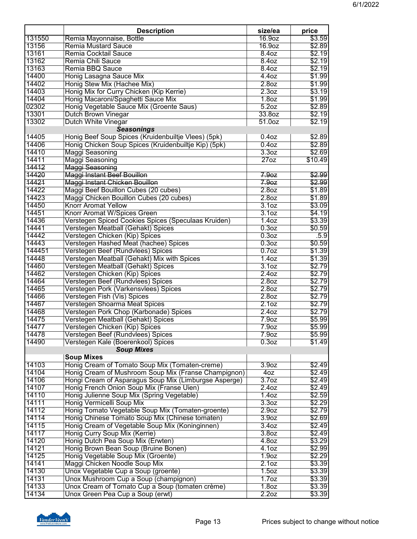|                 | <b>Description</b>                                                                | size/ea           | price            |
|-----------------|-----------------------------------------------------------------------------------|-------------------|------------------|
| 131550          | Remia Mayonnaise, Bottle                                                          | 16.9oz            | \$3.59           |
| 13156           | <b>Remia Mustard Sauce</b>                                                        | 16.9oz            | \$2.89           |
| 13161           | Remia Cocktail Sauce                                                              | 8.40z             | \$2.19           |
| 13162           | Remia Chili Sauce                                                                 | 8.40z             | \$2.19           |
| 13163           | Remia BBQ Sauce                                                                   | 8.40z             | \$2.19           |
| 14400           | Honig Lasagna Sauce Mix                                                           | 4.40Z             | \$1.99           |
| 14402           | Honig Stew Mix (Hachee Mix)                                                       | 2.8 <sub>oz</sub> | \$1.99           |
| 14403           | Honig Mix for Curry Chicken (Kip Kerrie)                                          | 2.3 <sub>oz</sub> | \$3.19           |
| 14404           | Honig Macaroni/Spaghetti Sauce Mix                                                | 1.8 <sub>oz</sub> | \$1.99           |
| 02302           | Honig Vegetable Sauce Mix (Groente Saus)                                          | 5.2oz             | \$2.89           |
| 13301           | Dutch Brown Vinegar                                                               | 33.8oz            | \$2.19           |
| 13302           | Dutch White Vinegar                                                               | 51.0oz            | \$2.19           |
|                 | <b>Seasonings</b>                                                                 |                   |                  |
| 14405           | Honig Beef Soup Spices (Kruidenbuiltje Vlees) (5pk)                               | $0.4$ oz          | \$2.89           |
| 14406           | Honig Chicken Soup Spices (Kruidenbuiltje Kip) (5pk)                              | 0.4 <sub>oz</sub> | \$2.89           |
| 14410           | Maggi Seasoning                                                                   | 3.3 <sub>oz</sub> | \$2.69           |
| 14411           | <b>Maggi Seasoning</b>                                                            | $27$ oz           | \$10.49          |
| 14412           | Maggi Seasoning                                                                   |                   |                  |
| 14420           | Maggi Instant Beef Bouillon                                                       | 7.9 <sub>0</sub>  | \$2.99           |
| 14421           | Maggi Instant Chicken Bouillon                                                    | 7.9 <sub>oz</sub> | \$2.99           |
| 14422           | Maggi Beef Bouillon Cubes (20 cubes)                                              | 2.8 <sub>oz</sub> | \$1.89           |
| 14423           | Maggi Chicken Bouillon Cubes (20 cubes)                                           | 2.8 <sub>oz</sub> | \$1.89           |
| 14450           | <b>Knorr Aromat Yellow</b>                                                        | 3.10z             | \$3.09           |
| 14451           | Knorr Aromat W/Spices Green                                                       | 3.10z             | \$4.19           |
| 14436           | Verstegen Spiced Cookies Spices (Speculaas Kruiden)                               | 1.40z             | \$3.39           |
| 14441           | Verstegen Meatball (Gehakt) Spices                                                | 0.3 <sub>oz</sub> | \$0.59           |
| 14442           | Verstegen Chicken (Kip) Spices                                                    | 0.3 <sub>oz</sub> | .5.9             |
| 14443<br>144451 | Verstegen Hashed Meat (hachee) Spices                                             | 0.3 <sub>oz</sub> | \$0.59           |
| 14448           | Verstegen Beef (Rundvlees) Spices                                                 | $0.7$ oz<br>1.40z | \$1.39<br>\$1.39 |
| 14460           | Verstegen Meatball (Gehakt) Mix with Spices<br>Verstegen Meatball (Gehakt) Spices | 3.10z             | \$2.79           |
| 14462           | Verstegen Chicken (Kip) Spices                                                    | 2.40z             | \$2.79           |
| 14464           | Verstegen Beef (Rundvlees) Spices                                                 | 2.8 <sub>oz</sub> | \$2.79           |
| 14465           | Verstegen Pork (Varkensvlees) Spices                                              | 2.8 <sub>oz</sub> | \$2.79           |
| 14466           | Verstegen Fish (Vis) Spices                                                       | 2.8 <sub>oz</sub> | \$2.79           |
| 14467           | Verstegen Shoarma Meat Spices                                                     | 2.1 <sub>oz</sub> | \$2.79           |
| 14468           | Verstegen Pork Chop (Karbonade) Spices                                            | 2.40z             | \$2.79           |
| 14475           | Verstegen Meatball (Gehakt) Spices                                                | 7.9 <sub>oz</sub> | \$5.99           |
| 14477           | Verstegen Chicken (Kip) Spices                                                    | 7.9 <sub>oz</sub> | \$5.99           |
| 14478           | Verstegen Beef (Rundvlees) Spices                                                 | 7.9 <sub>oz</sub> | \$5.99           |
| 14490           | Verstegen Kale (Boerenkool) Spices                                                | 0.3 <sub>oz</sub> | \$1.49           |
|                 | <b>Soup Mixes</b>                                                                 |                   |                  |
|                 | <b>Soup Mixes</b>                                                                 |                   |                  |
| 14103           | Honig Cream of Tomato Soup Mix (Tomaten-creme)                                    | 3.9 <sub>oz</sub> | \$2.49           |
| 14104           | Honig Cream of Mushroom Soup Mix (Franse Champignon)                              | 40z               | \$2.49           |
| 14106           | Hongi Cream of Asparagus Soup Mix (Limburgse Asperge)                             | 3.7 <sub>oz</sub> | \$2.49           |
| 14107           | Honig French Onion Soup Mix (Franse Uien)                                         | 2.40Z             | \$2.49           |
| 14110           | Honig Julienne Soup Mix (Spring Vegetable)                                        | 1.40z             | \$2.59           |
| 14111           | Honig Vermicelli Soup Mix                                                         | 3.3 <sub>oz</sub> | \$2.29           |
| 14112           | Honig Tomato Vegetable Soup Mix (Tomaten-groente)                                 | 2.9 <sub>oz</sub> | \$2.79           |
| 14114           | Honig Chinese Tomato Soup Mix (Chinese tomaten)                                   | 3.9 <sub>oz</sub> | \$2.69           |
| 14115           | Honig Cream of Vegetable Soup Mix (Koninginnen)                                   | 3.40z             | \$2.49           |
| 14117           | Honig Curry Soup Mix (Kerrie)                                                     | 3.8 <sub>oz</sub> | \$2.49           |
| 14120           | Honig Dutch Pea Soup Mix (Erwten)                                                 | 4.8oz             | \$3.29           |
| 14121           | Honig Brown Bean Soup (Bruine Bonen)                                              | 4.1 <sub>oz</sub> | \$2.99           |
| 14125           | Honig Vegetable Soup Mix (Groente)                                                | 1.9 <sub>oz</sub> | \$2.29           |
| 14141           | Maggi Chicken Noodle Soup Mix                                                     | 2.10z             | \$3.39           |
| 14130           | Unox Vegetable Cup a Soup (groente)                                               | 1.5 <sub>oz</sub> | \$3.39           |
| 14131           | Unox Mushroom Cup a Soup (champignon)                                             | 1.7 <sub>oz</sub> | \$3.39           |
| 14133           | Unox Cream of Tomato Cup a Soup (tomaten crème)                                   | 1.8 <sub>oz</sub> | \$3.39           |
| 14134           | Unox Green Pea Cup a Soup (erwt)                                                  | 2.2 <sub>oz</sub> | \$3.39           |